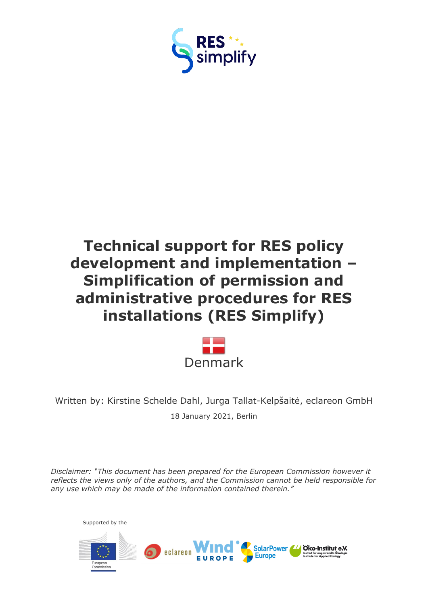



Written by: Kirstine Schelde Dahl, Jurga Tallat-Kelpšaitė, eclareon GmbH 18 January 2021, Berlin

*Disclaimer: "This document has been prepared for the European Commission however it reflects the views only of the authors, and the Commission cannot be held responsible for any use which may be made of the information contained therein."*

Supported by theSolarPower // Oko-Institut e.V. eclareon t für angewandte (<br>In for Annlied Ecol **Europe**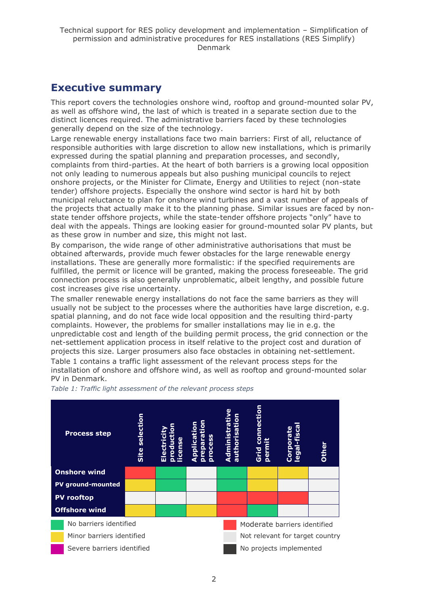## <span id="page-1-0"></span>**Executive summary**

This report covers the technologies onshore wind, rooftop and ground-mounted solar PV, as well as offshore wind, the last of which is treated in a separate section due to the distinct licences required. The administrative barriers faced by these technologies generally depend on the size of the technology.

Large renewable energy installations face two main barriers: First of all, reluctance of responsible authorities with large discretion to allow new installations, which is primarily expressed during the spatial planning and preparation processes, and secondly, complaints from third-parties. At the heart of both barriers is a growing local opposition not only leading to numerous appeals but also pushing municipal councils to reject onshore projects, or the Minister for Climate, Energy and Utilities to reject (non-state tender) offshore projects. Especially the onshore wind sector is hard hit by both municipal reluctance to plan for onshore wind turbines and a vast number of appeals of the projects that actually make it to the planning phase. Similar issues are faced by nonstate tender offshore projects, while the state-tender offshore projects "only" have to deal with the appeals. Things are looking easier for ground-mounted solar PV plants, but as these grow in number and size, this might not last.

By comparison, the wide range of other administrative authorisations that must be obtained afterwards, provide much fewer obstacles for the large renewable energy installations. These are generally more formalistic: if the specified requirements are fulfilled, the permit or licence will be granted, making the process foreseeable. The grid connection process is also generally unproblematic, albeit lengthy, and possible future cost increases give rise uncertainty.

The smaller renewable energy installations do not face the same barriers as they will usually not be subject to the processes where the authorities have large discretion, e.g. spatial planning, and do not face wide local opposition and the resulting third-party complaints. However, the problems for smaller installations may lie in e.g. the unpredictable cost and length of the building permit process, the grid connection or the net-settlement application process in itself relative to the project cost and duration of projects this size. Larger prosumers also face obstacles in obtaining net-settlement. Table 1 contains a traffic light assessment of the relevant process steps for the installation of onshore and offshore wind, as well as rooftop and ground-mounted solar PV in Denmark.



*Table 1: Traffic light assessment of the relevant process steps*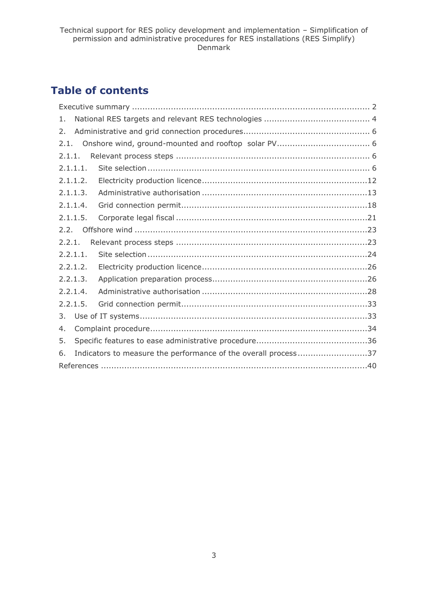## **Table of contents**

| 1.       |  |                                                                |  |  |  |
|----------|--|----------------------------------------------------------------|--|--|--|
| 2.       |  |                                                                |  |  |  |
| 2.1.     |  |                                                                |  |  |  |
| 2.1.1.   |  |                                                                |  |  |  |
| 2.1.1.1. |  |                                                                |  |  |  |
| 2.1.1.2. |  |                                                                |  |  |  |
| 2.1.1.3. |  |                                                                |  |  |  |
| 2.1.1.4. |  |                                                                |  |  |  |
| 2.1.1.5. |  |                                                                |  |  |  |
| 2.2.     |  |                                                                |  |  |  |
| 2.2.1.   |  |                                                                |  |  |  |
| 2.2.1.1. |  |                                                                |  |  |  |
| 2.2.1.2. |  |                                                                |  |  |  |
| 2.2.1.3. |  |                                                                |  |  |  |
| 2.2.1.4. |  |                                                                |  |  |  |
| 2.2.1.5. |  |                                                                |  |  |  |
| 3.       |  |                                                                |  |  |  |
| 4.       |  |                                                                |  |  |  |
| 5.       |  |                                                                |  |  |  |
| 6.       |  | Indicators to measure the performance of the overall process37 |  |  |  |
|          |  |                                                                |  |  |  |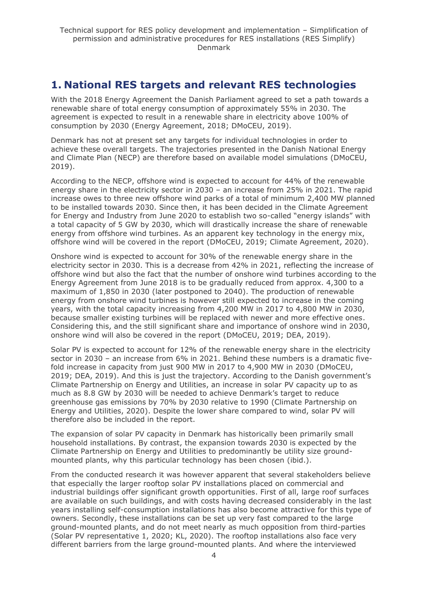## <span id="page-3-0"></span>**1. National RES targets and relevant RES technologies**

With the 2018 Energy Agreement the Danish Parliament agreed to set a path towards a renewable share of total energy consumption of approximately 55% in 2030. The agreement is expected to result in a renewable share in electricity above 100% of consumption by 2030 (Energy Agreement, 2018; DMoCEU, 2019).

Denmark has not at present set any targets for individual technologies in order to achieve these overall targets. The trajectories presented in the Danish National Energy and Climate Plan (NECP) are therefore based on available model simulations (DMoCEU, 2019).

According to the NECP, offshore wind is expected to account for 44% of the renewable energy share in the electricity sector in 2030 – an increase from 25% in 2021. The rapid increase owes to three new offshore wind parks of a total of minimum 2,400 MW planned to be installed towards 2030. Since then, it has been decided in the Climate Agreement for Energy and Industry from June 2020 to establish two so-called "energy islands" with a total capacity of 5 GW by 2030, which will drastically increase the share of renewable energy from offshore wind turbines. As an apparent key technology in the energy mix, offshore wind will be covered in the report (DMoCEU, 2019; Climate Agreement, 2020).

Onshore wind is expected to account for 30% of the renewable energy share in the electricity sector in 2030. This is a decrease from 42% in 2021, reflecting the increase of offshore wind but also the fact that the number of onshore wind turbines according to the Energy Agreement from June 2018 is to be gradually reduced from approx. 4,300 to a maximum of 1,850 in 2030 (later postponed to 2040). The production of renewable energy from onshore wind turbines is however still expected to increase in the coming years, with the total capacity increasing from 4,200 MW in 2017 to 4,800 MW in 2030, because smaller existing turbines will be replaced with newer and more effective ones. Considering this, and the still significant share and importance of onshore wind in 2030, onshore wind will also be covered in the report (DMoCEU, 2019; DEA, 2019).

Solar PV is expected to account for 12% of the renewable energy share in the electricity sector in 2030 – an increase from 6% in 2021. Behind these numbers is a dramatic fivefold increase in capacity from just 900 MW in 2017 to 4,900 MW in 2030 (DMoCEU, 2019; DEA, 2019). And this is just the trajectory. According to the Danish government's Climate Partnership on Energy and Utilities, an increase in solar PV capacity up to as much as 8.8 GW by 2030 will be needed to achieve Denmark's target to reduce greenhouse gas emissions by 70% by 2030 relative to 1990 (Climate Partnership on Energy and Utilities, 2020). Despite the lower share compared to wind, solar PV will therefore also be included in the report.

The expansion of solar PV capacity in Denmark has historically been primarily small household installations. By contrast, the expansion towards 2030 is expected by the Climate Partnership on Energy and Utilities to predominantly be utility size groundmounted plants, why this particular technology has been chosen (ibid.).

From the conducted research it was however apparent that several stakeholders believe that especially the larger rooftop solar PV installations placed on commercial and industrial buildings offer significant growth opportunities. First of all, large roof surfaces are available on such buildings, and with costs having decreased considerably in the last years installing self-consumption installations has also become attractive for this type of owners. Secondly, these installations can be set up very fast compared to the large ground-mounted plants, and do not meet nearly as much opposition from third-parties (Solar PV representative 1, 2020; KL, 2020). The rooftop installations also face very different barriers from the large ground-mounted plants. And where the interviewed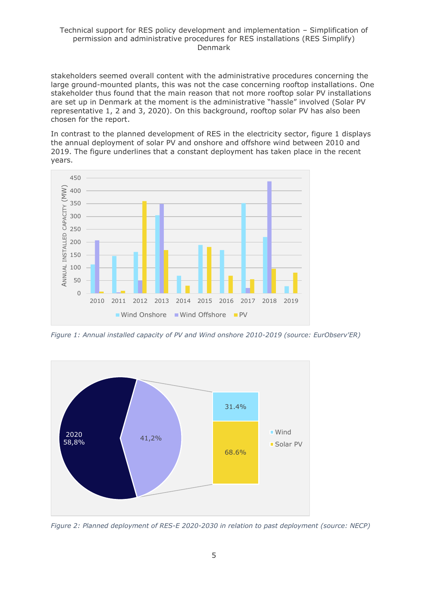stakeholders seemed overall content with the administrative procedures concerning the large ground-mounted plants, this was not the case concerning rooftop installations. One stakeholder thus found that the main reason that not more rooftop solar PV installations are set up in Denmark at the moment is the administrative "hassle" involved (Solar PV representative 1, 2 and 3, 2020). On this background, rooftop solar PV has also been chosen for the report.

In contrast to the planned development of RES in the electricity sector, figure 1 displays the annual deployment of solar PV and onshore and offshore wind between 2010 and 2019. The figure underlines that a constant deployment has taken place in the recent years.



*Figure 1: Annual installed capacity of PV and Wind onshore 2010-2019 (source: EurObserv'ER)*



*Figure 2: Planned deployment of RES-E 2020-2030 in relation to past deployment (source: NECP)*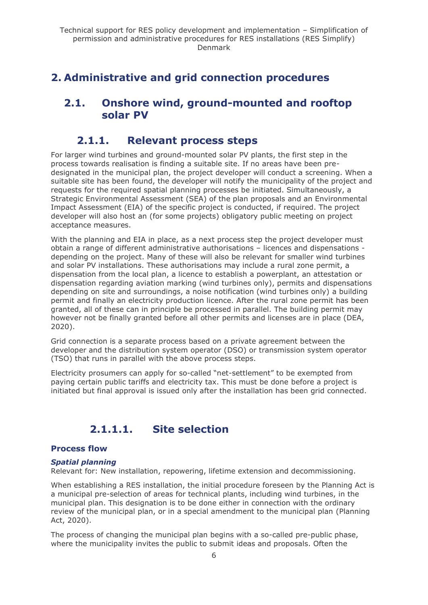## <span id="page-5-1"></span><span id="page-5-0"></span>**2. Administrative and grid connection procedures**

## **2.1. Onshore wind, ground-mounted and rooftop solar PV**

## **2.1.1. Relevant process steps**

<span id="page-5-2"></span>For larger wind turbines and ground-mounted solar PV plants, the first step in the process towards realisation is finding a suitable site. If no areas have been predesignated in the municipal plan, the project developer will conduct a screening. When a suitable site has been found, the developer will notify the municipality of the project and requests for the required spatial planning processes be initiated. Simultaneously, a Strategic Environmental Assessment (SEA) of the plan proposals and an Environmental Impact Assessment (EIA) of the specific project is conducted, if required. The project developer will also host an (for some projects) obligatory public meeting on project acceptance measures.

With the planning and EIA in place, as a next process step the project developer must obtain a range of different administrative authorisations – licences and dispensations depending on the project. Many of these will also be relevant for smaller wind turbines and solar PV installations. These authorisations may include a rural zone permit, a dispensation from the local plan, a licence to establish a powerplant, an attestation or dispensation regarding aviation marking (wind turbines only), permits and dispensations depending on site and surroundings, a noise notification (wind turbines only) a building permit and finally an electricity production licence. After the rural zone permit has been granted, all of these can in principle be processed in parallel. The building permit may however not be finally granted before all other permits and licenses are in place (DEA, 2020).

Grid connection is a separate process based on a private agreement between the developer and the distribution system operator (DSO) or transmission system operator (TSO) that runs in parallel with the above process steps.

Electricity prosumers can apply for so-called "net-settlement" to be exempted from paying certain public tariffs and electricity tax. This must be done before a project is initiated but final approval is issued only after the installation has been grid connected.

## **2.1.1.1. Site selection**

## <span id="page-5-3"></span>**Process flow**

### *Spatial planning*

Relevant for: New installation, repowering, lifetime extension and decommissioning.

When establishing a RES installation, the initial procedure foreseen by the Planning Act is a municipal pre-selection of areas for technical plants, including wind turbines, in the municipal plan. This designation is to be done either in connection with the ordinary review of the municipal plan, or in a special amendment to the municipal plan (Planning Act, 2020).

The process of changing the municipal plan begins with a so-called pre-public phase, where the municipality invites the public to submit ideas and proposals. Often the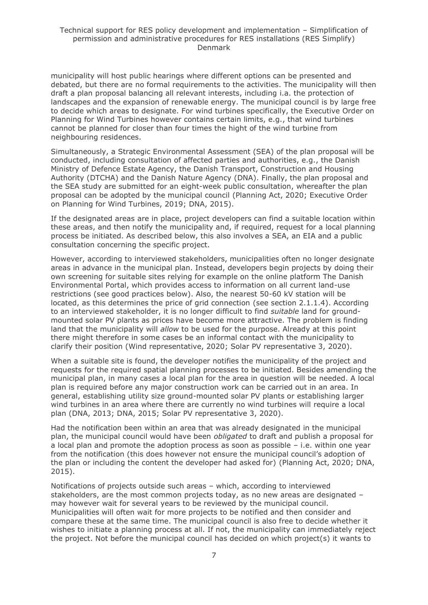municipality will host public hearings where different options can be presented and debated, but there are no formal requirements to the activities. The municipality will then draft a plan proposal balancing all relevant interests, including i.a. the protection of landscapes and the expansion of renewable energy. The municipal council is by large free to decide which areas to designate. For wind turbines specifically, the Executive Order on Planning for Wind Turbines however contains certain limits, e.g., that wind turbines cannot be planned for closer than four times the hight of the wind turbine from neighbouring residences.

Simultaneously, a Strategic Environmental Assessment (SEA) of the plan proposal will be conducted, including consultation of affected parties and authorities, e.g., the Danish Ministry of Defence Estate Agency, the Danish Transport, Construction and Housing Authority (DTCHA) and the Danish Nature Agency (DNA). Finally, the plan proposal and the SEA study are submitted for an eight-week public consultation, whereafter the plan proposal can be adopted by the municipal council (Planning Act, 2020; Executive Order on Planning for Wind Turbines, 2019; DNA, 2015).

If the designated areas are in place, project developers can find a suitable location within these areas, and then notify the municipality and, if required, request for a local planning process be initiated. As described below, this also involves a SEA, an EIA and a public consultation concerning the specific project.

However, according to interviewed stakeholders, municipalities often no longer designate areas in advance in the municipal plan. Instead, developers begin projects by doing their own screening for suitable sites relying for example on the online platform The Danish Environmental Portal, which provides access to information on all current land-use restrictions (see good practices below). Also, the nearest 50-60 kV station will be located, as this determines the price of grid connection (see section 2.1.1.4). According to an interviewed stakeholder, it is no longer difficult to find *suitable* land for groundmounted solar PV plants as prices have become more attractive. The problem is finding land that the municipality will *allow* to be used for the purpose. Already at this point there might therefore in some cases be an informal contact with the municipality to clarify their position (Wind representative, 2020; Solar PV representative 3, 2020).

When a suitable site is found, the developer notifies the municipality of the project and requests for the required spatial planning processes to be initiated. Besides amending the municipal plan, in many cases a local plan for the area in question will be needed. A local plan is required before any major construction work can be carried out in an area. In general, establishing utility size ground-mounted solar PV plants or establishing larger wind turbines in an area where there are currently no wind turbines will require a local plan (DNA, 2013; DNA, 2015; Solar PV representative 3, 2020).

Had the notification been within an area that was already designated in the municipal plan, the municipal council would have been *obligated* to draft and publish a proposal for a local plan and promote the adoption process as soon as possible – i.e. within one year from the notification (this does however not ensure the municipal council's adoption of the plan or including the content the developer had asked for) (Planning Act, 2020; DNA, 2015).

Notifications of projects outside such areas – which, according to interviewed stakeholders, are the most common projects today, as no new areas are designated – may however wait for several years to be reviewed by the municipal council. Municipalities will often wait for more projects to be notified and then consider and compare these at the same time. The municipal council is also free to decide whether it wishes to initiate a planning process at all. If not, the municipality can immediately reject the project. Not before the municipal council has decided on which project(s) it wants to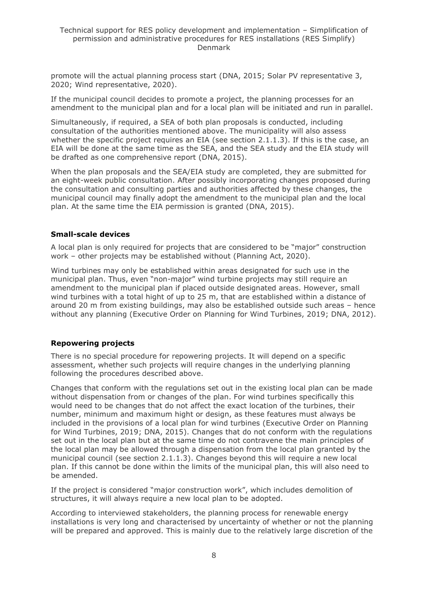promote will the actual planning process start (DNA, 2015; Solar PV representative 3, 2020; Wind representative, 2020).

If the municipal council decides to promote a project, the planning processes for an amendment to the municipal plan and for a local plan will be initiated and run in parallel.

Simultaneously, if required, a SEA of both plan proposals is conducted, including consultation of the authorities mentioned above. The municipality will also assess whether the specific project requires an EIA (see section 2.1.1.3). If this is the case, an EIA will be done at the same time as the SEA, and the SEA study and the EIA study will be drafted as one comprehensive report (DNA, 2015).

When the plan proposals and the SEA/EIA study are completed, they are submitted for an eight-week public consultation. After possibly incorporating changes proposed during the consultation and consulting parties and authorities affected by these changes, the municipal council may finally adopt the amendment to the municipal plan and the local plan. At the same time the EIA permission is granted (DNA, 2015).

#### **Small-scale devices**

A local plan is only required for projects that are considered to be "major" construction work – other projects may be established without (Planning Act, 2020).

Wind turbines may only be established within areas designated for such use in the municipal plan. Thus, even "non-major" wind turbine projects may still require an amendment to the municipal plan if placed outside designated areas. However, small wind turbines with a total hight of up to 25 m, that are established within a distance of around 20 m from existing buildings, may also be established outside such areas – hence without any planning (Executive Order on Planning for Wind Turbines, 2019; DNA, 2012).

#### **Repowering projects**

There is no special procedure for repowering projects. It will depend on a specific assessment, whether such projects will require changes in the underlying planning following the procedures described above.

Changes that conform with the regulations set out in the existing local plan can be made without dispensation from or changes of the plan. For wind turbines specifically this would need to be changes that do not affect the exact location of the turbines, their number, minimum and maximum hight or design, as these features must always be included in the provisions of a local plan for wind turbines (Executive Order on Planning for Wind Turbines, 2019; DNA, 2015). Changes that do not conform with the regulations set out in the local plan but at the same time do not contravene the main principles of the local plan may be allowed through a dispensation from the local plan granted by the municipal council (see section 2.1.1.3). Changes beyond this will require a new local plan. If this cannot be done within the limits of the municipal plan, this will also need to be amended.

If the project is considered "major construction work", which includes demolition of structures, it will always require a new local plan to be adopted.

According to interviewed stakeholders, the planning process for renewable energy installations is very long and characterised by uncertainty of whether or not the planning will be prepared and approved. This is mainly due to the relatively large discretion of the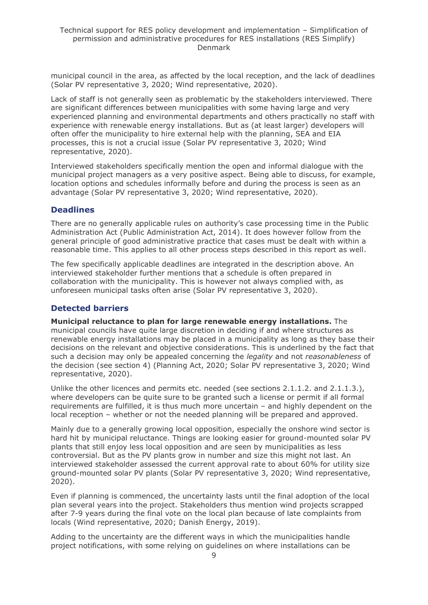municipal council in the area, as affected by the local reception, and the lack of deadlines (Solar PV representative 3, 2020; Wind representative, 2020).

Lack of staff is not generally seen as problematic by the stakeholders interviewed. There are significant differences between municipalities with some having large and very experienced planning and environmental departments and others practically no staff with experience with renewable energy installations. But as (at least larger) developers will often offer the municipality to hire external help with the planning, SEA and EIA processes, this is not a crucial issue (Solar PV representative 3, 2020; Wind representative, 2020).

Interviewed stakeholders specifically mention the open and informal dialogue with the municipal project managers as a very positive aspect. Being able to discuss, for example, location options and schedules informally before and during the process is seen as an advantage (Solar PV representative 3, 2020; Wind representative, 2020).

### **Deadlines**

There are no generally applicable rules on authority's case processing time in the Public Administration Act (Public Administration Act, 2014). It does however follow from the general principle of good administrative practice that cases must be dealt with within a reasonable time. This applies to all other process steps described in this report as well.

The few specifically applicable deadlines are integrated in the description above. An interviewed stakeholder further mentions that a schedule is often prepared in collaboration with the municipality. This is however not always complied with, as unforeseen municipal tasks often arise (Solar PV representative 3, 2020).

### **Detected barriers**

**Municipal reluctance to plan for large renewable energy installations.** The municipal councils have quite large discretion in deciding if and where structures as renewable energy installations may be placed in a municipality as long as they base their decisions on the relevant and objective considerations. This is underlined by the fact that such a decision may only be appealed concerning the *legality* and not *reasonableness* of the decision (see section 4) (Planning Act, 2020; Solar PV representative 3, 2020; Wind representative, 2020).

Unlike the other licences and permits etc. needed (see sections 2.1.1.2. and 2.1.1.3.), where developers can be quite sure to be granted such a license or permit if all formal requirements are fulfilled, it is thus much more uncertain – and highly dependent on the local reception – whether or not the needed planning will be prepared and approved.

Mainly due to a generally growing local opposition, especially the onshore wind sector is hard hit by municipal reluctance. Things are looking easier for ground-mounted solar PV plants that still enjoy less local opposition and are seen by municipalities as less controversial. But as the PV plants grow in number and size this might not last. An interviewed stakeholder assessed the current approval rate to about 60% for utility size ground-mounted solar PV plants (Solar PV representative 3, 2020; Wind representative, 2020).

Even if planning is commenced, the uncertainty lasts until the final adoption of the local plan several years into the project. Stakeholders thus mention wind projects scrapped after 7-9 years during the final vote on the local plan because of late complaints from locals (Wind representative, 2020; Danish Energy, 2019).

Adding to the uncertainty are the different ways in which the municipalities handle project notifications, with some relying on guidelines on where installations can be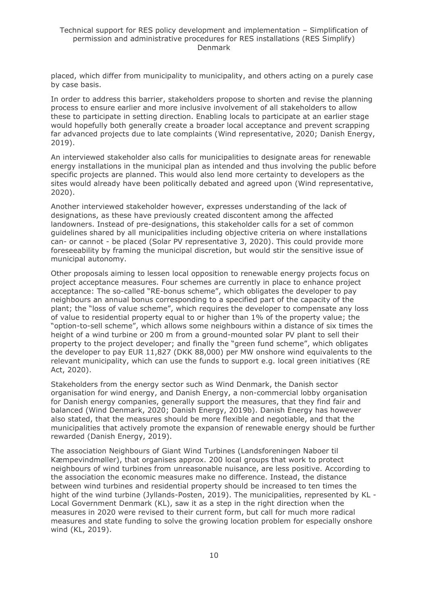placed, which differ from municipality to municipality, and others acting on a purely case by case basis.

In order to address this barrier, stakeholders propose to shorten and revise the planning process to ensure earlier and more inclusive involvement of all stakeholders to allow these to participate in setting direction. Enabling locals to participate at an earlier stage would hopefully both generally create a broader local acceptance and prevent scrapping far advanced projects due to late complaints (Wind representative, 2020; Danish Energy, 2019).

An interviewed stakeholder also calls for municipalities to designate areas for renewable energy installations in the municipal plan as intended and thus involving the public before specific projects are planned. This would also lend more certainty to developers as the sites would already have been politically debated and agreed upon (Wind representative, 2020).

Another interviewed stakeholder however, expresses understanding of the lack of designations, as these have previously created discontent among the affected landowners. Instead of pre-designations, this stakeholder calls for a set of common guidelines shared by all municipalities including objective criteria on where installations can- or cannot - be placed (Solar PV representative 3, 2020). This could provide more foreseeability by framing the municipal discretion, but would stir the sensitive issue of municipal autonomy.

Other proposals aiming to lessen local opposition to renewable energy projects focus on project acceptance measures. Four schemes are currently in place to enhance project acceptance: The so-called "RE-bonus scheme", which obligates the developer to pay neighbours an annual bonus corresponding to a specified part of the capacity of the plant; the "loss of value scheme", which requires the developer to compensate any loss of value to residential property equal to or higher than 1% of the property value; the "option-to-sell scheme", which allows some neighbours within a distance of six times the height of a wind turbine or 200 m from a ground-mounted solar PV plant to sell their property to the project developer; and finally the "green fund scheme", which obligates the developer to pay EUR 11,827 (DKK 88,000) per MW onshore wind equivalents to the relevant municipality, which can use the funds to support e.g. local green initiatives (RE Act, 2020).

Stakeholders from the energy sector such as Wind Denmark, the Danish sector organisation for wind energy, and Danish Energy, a non-commercial lobby organisation for Danish energy companies, generally support the measures, that they find fair and balanced (Wind Denmark, 2020; Danish Energy, 2019b). Danish Energy has however also stated, that the measures should be more flexible and negotiable, and that the municipalities that actively promote the expansion of renewable energy should be further rewarded (Danish Energy, 2019).

The association Neighbours of Giant Wind Turbines (Landsforeningen Naboer til Kæmpevindmøller), that organises approx. 200 local groups that work to protect neighbours of wind turbines from unreasonable nuisance, are less positive. According to the association the economic measures make no difference. Instead, the distance between wind turbines and residential property should be increased to ten times the hight of the wind turbine (Jyllands-Posten, 2019). The municipalities, represented by KL - Local Government Denmark (KL), saw it as a step in the right direction when the measures in 2020 were revised to their current form, but call for much more radical measures and state funding to solve the growing location problem for especially onshore wind (KL, 2019).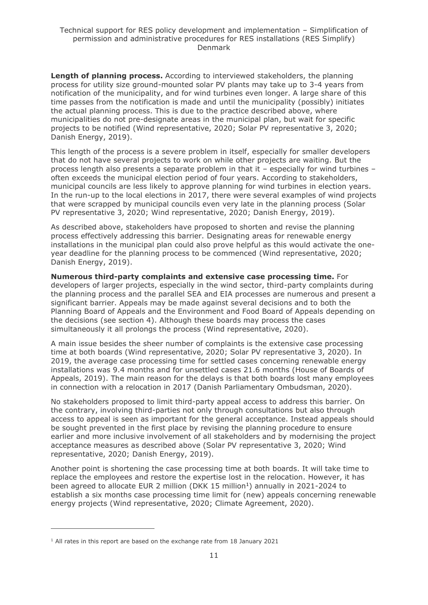**Length of planning process.** According to interviewed stakeholders, the planning process for utility size ground-mounted solar PV plants may take up to 3-4 years from notification of the municipality, and for wind turbines even longer. A large share of this time passes from the notification is made and until the municipality (possibly) initiates the actual planning process. This is due to the practice described above, where municipalities do not pre-designate areas in the municipal plan, but wait for specific projects to be notified (Wind representative, 2020; Solar PV representative 3, 2020; Danish Energy, 2019).

This length of the process is a severe problem in itself, especially for smaller developers that do not have several projects to work on while other projects are waiting. But the process length also presents a separate problem in that it – especially for wind turbines – often exceeds the municipal election period of four years. According to stakeholders, municipal councils are less likely to approve planning for wind turbines in election years. In the run-up to the local elections in 2017, there were several examples of wind projects that were scrapped by municipal councils even very late in the planning process (Solar PV representative 3, 2020; Wind representative, 2020; Danish Energy, 2019).

As described above, stakeholders have proposed to shorten and revise the planning process effectively addressing this barrier. Designating areas for renewable energy installations in the municipal plan could also prove helpful as this would activate the oneyear deadline for the planning process to be commenced (Wind representative, 2020; Danish Energy, 2019).

**Numerous third-party complaints and extensive case processing time.** For developers of larger projects, especially in the wind sector, third-party complaints during the planning process and the parallel SEA and EIA processes are numerous and present a significant barrier. Appeals may be made against several decisions and to both the Planning Board of Appeals and the Environment and Food Board of Appeals depending on the decisions (see section 4). Although these boards may process the cases simultaneously it all prolongs the process (Wind representative, 2020).

A main issue besides the sheer number of complaints is the extensive case processing time at both boards (Wind representative, 2020; Solar PV representative 3, 2020). In 2019, the average case processing time for settled cases concerning renewable energy installations was 9.4 months and for unsettled cases 21.6 months (House of Boards of Appeals, 2019). The main reason for the delays is that both boards lost many employees in connection with a relocation in 2017 (Danish Parliamentary Ombudsman, 2020).

No stakeholders proposed to limit third-party appeal access to address this barrier. On the contrary, involving third-parties not only through consultations but also through access to appeal is seen as important for the general acceptance. Instead appeals should be sought prevented in the first place by revising the planning procedure to ensure earlier and more inclusive involvement of all stakeholders and by modernising the project acceptance measures as described above (Solar PV representative 3, 2020; Wind representative, 2020; Danish Energy, 2019).

Another point is shortening the case processing time at both boards. It will take time to replace the employees and restore the expertise lost in the relocation. However, it has been agreed to allocate EUR 2 million (DKK 15 million<sup>1</sup>) annually in 2021-2024 to establish a six months case processing time limit for (new) appeals concerning renewable energy projects (Wind representative, 2020; Climate Agreement, 2020).

<sup>&</sup>lt;sup>1</sup> All rates in this report are based on the exchange rate from 18 January 2021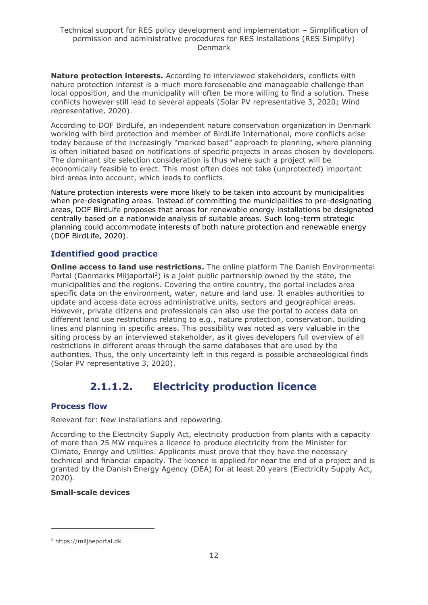**Nature protection interests.** According to interviewed stakeholders, conflicts with nature protection interest is a much more foreseeable and manageable challenge than local opposition, and the municipality will often be more willing to find a solution. These conflicts however still lead to several appeals (Solar PV representative 3, 2020; Wind representative, 2020).

According to DOF BirdLife, an independent nature conservation organization in Denmark working with bird protection and member of BirdLife International, more conflicts arise today because of the increasingly "marked based" approach to planning, where planning is often initiated based on notifications of specific projects in areas chosen by developers. The dominant site selection consideration is thus where such a project will be economically feasible to erect. This most often does not take (unprotected) important bird areas into account, which leads to conflicts.

Nature protection interests were more likely to be taken into account by municipalities when pre-designating areas. Instead of committing the municipalities to pre-designating areas, DOF BirdLife proposes that areas for renewable energy installations be designated centrally based on a nationwide analysis of suitable areas. Such long-term strategic planning could accommodate interests of both nature protection and renewable energy (DOF BirdLife, 2020).

## **Identified good practice**

**Online access to land use restrictions.** The online platform The Danish Environmental Portal (Danmarks Miljøportal<sup>2</sup>) is a joint public partnership owned by the state, the municipalities and the regions. Covering the entire country, the portal includes area specific data on the environment, water, nature and land use. It enables authorities to update and access data across administrative units, sectors and geographical areas. However, private citizens and professionals can also use the portal to access data on different land use restrictions relating to e.g., nature protection, conservation, building lines and planning in specific areas. This possibility was noted as very valuable in the siting process by an interviewed stakeholder, as it gives developers full overview of all restrictions in different areas through the same databases that are used by the authorities. Thus, the only uncertainty left in this regard is possible archaeological finds (Solar PV representative 3, 2020).

## **2.1.1.2. Electricity production licence**

## <span id="page-11-0"></span>**Process flow**

Relevant for: New installations and repowering.

According to the Electricity Supply Act, electricity production from plants with a capacity of more than 25 MW requires a licence to produce electricity from the Minister for Climate, Energy and Utilities. Applicants must prove that they have the necessary technical and financial capacity. The licence is applied for near the end of a project and is granted by the Danish Energy Agency (DEA) for at least 20 years (Electricity Supply Act, 2020).

### **Small-scale devices**

<sup>2</sup> https://miljoeportal.dk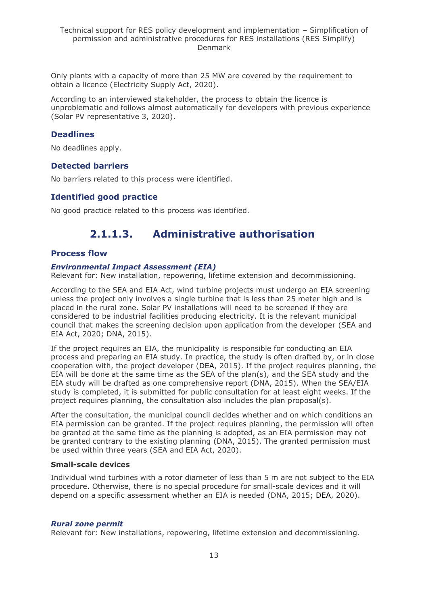Only plants with a capacity of more than 25 MW are covered by the requirement to obtain a licence (Electricity Supply Act, 2020).

According to an interviewed stakeholder, the process to obtain the licence is unproblematic and follows almost automatically for developers with previous experience (Solar PV representative 3, 2020).

### **Deadlines**

No deadlines apply.

#### **Detected barriers**

No barriers related to this process were identified.

### **Identified good practice**

<span id="page-12-0"></span>No good practice related to this process was identified.

## **2.1.1.3. Administrative authorisation**

#### **Process flow**

#### *Environmental Impact Assessment (EIA)*

Relevant for: New installation, repowering, lifetime extension and decommissioning.

According to the SEA and EIA Act, wind turbine projects must undergo an EIA screening unless the project only involves a single turbine that is less than 25 meter high and is placed in the rural zone. Solar PV installations will need to be screened if they are considered to be industrial facilities producing electricity. It is the relevant municipal council that makes the screening decision upon application from the developer (SEA and EIA Act, 2020; DNA, 2015).

If the project requires an EIA, the municipality is responsible for conducting an EIA process and preparing an EIA study. In practice, the study is often drafted by, or in close cooperation with, the project developer (DEA, 2015). If the project requires planning, the EIA will be done at the same time as the SEA of the plan(s), and the SEA study and the EIA study will be drafted as one comprehensive report (DNA, 2015). When the SEA/EIA study is completed, it is submitted for public consultation for at least eight weeks. If the project requires planning, the consultation also includes the plan proposal(s).

After the consultation, the municipal council decides whether and on which conditions an EIA permission can be granted. If the project requires planning, the permission will often be granted at the same time as the planning is adopted, as an EIA permission may not be granted contrary to the existing planning (DNA, 2015). The granted permission must be used within three years (SEA and EIA Act, 2020).

#### **Small-scale devices**

Individual wind turbines with a rotor diameter of less than 5 m are not subject to the EIA procedure. Otherwise, there is no special procedure for small-scale devices and it will depend on a specific assessment whether an EIA is needed (DNA, 2015; DEA, 2020).

#### *Rural zone permit*

Relevant for: New installations, repowering, lifetime extension and decommissioning.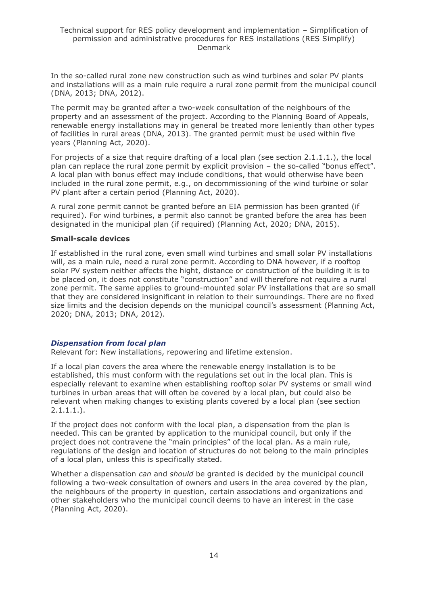In the so-called rural zone new construction such as wind turbines and solar PV plants and installations will as a main rule require a rural zone permit from the municipal council (DNA, 2013; DNA, 2012).

The permit may be granted after a two-week consultation of the neighbours of the property and an assessment of the project. According to the Planning Board of Appeals, renewable energy installations may in general be treated more leniently than other types of facilities in rural areas (DNA, 2013). The granted permit must be used within five years (Planning Act, 2020).

For projects of a size that require drafting of a local plan (see section 2.1.1.1.), the local plan can replace the rural zone permit by explicit provision – the so-called "bonus effect". A local plan with bonus effect may include conditions, that would otherwise have been included in the rural zone permit, e.g., on decommissioning of the wind turbine or solar PV plant after a certain period (Planning Act, 2020).

A rural zone permit cannot be granted before an EIA permission has been granted (if required). For wind turbines, a permit also cannot be granted before the area has been designated in the municipal plan (if required) (Planning Act, 2020; DNA, 2015).

#### **Small-scale devices**

If established in the rural zone, even small wind turbines and small solar PV installations will, as a main rule, need a rural zone permit. According to DNA however, if a rooftop solar PV system neither affects the hight, distance or construction of the building it is to be placed on, it does not constitute "construction" and will therefore not require a rural zone permit. The same applies to ground-mounted solar PV installations that are so small that they are considered insignificant in relation to their surroundings. There are no fixed size limits and the decision depends on the municipal council's assessment (Planning Act, 2020; DNA, 2013; DNA, 2012).

#### *Dispensation from local plan*

Relevant for: New installations, repowering and lifetime extension.

If a local plan covers the area where the renewable energy installation is to be established, this must conform with the regulations set out in the local plan. This is especially relevant to examine when establishing rooftop solar PV systems or small wind turbines in urban areas that will often be covered by a local plan, but could also be relevant when making changes to existing plants covered by a local plan (see section 2.1.1.1.).

If the project does not conform with the local plan, a dispensation from the plan is needed. This can be granted by application to the municipal council, but only if the project does not contravene the "main principles" of the local plan. As a main rule, regulations of the design and location of structures do not belong to the main principles of a local plan, unless this is specifically stated.

Whether a dispensation *can* and *should* be granted is decided by the municipal council following a two-week consultation of owners and users in the area covered by the plan, the neighbours of the property in question, certain associations and organizations and other stakeholders who the municipal council deems to have an interest in the case (Planning Act, 2020).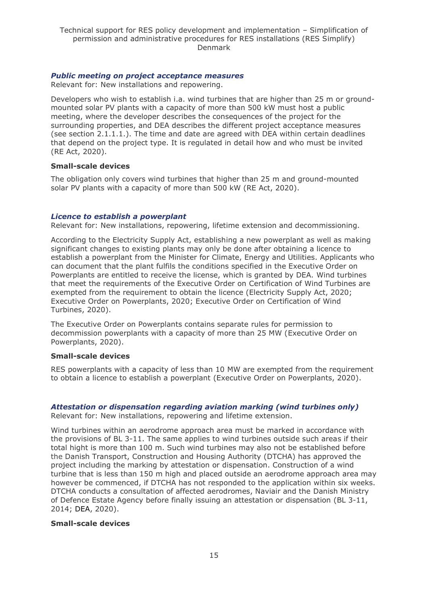#### *Public meeting on project acceptance measures*

Relevant for: New installations and repowering.

Developers who wish to establish i.a. wind turbines that are higher than 25 m or groundmounted solar PV plants with a capacity of more than 500 kW must host a public meeting, where the developer describes the consequences of the project for the surrounding properties, and DEA describes the different project acceptance measures (see section 2.1.1.1.). The time and date are agreed with DEA within certain deadlines that depend on the project type. It is regulated in detail how and who must be invited (RE Act, 2020).

#### **Small-scale devices**

The obligation only covers wind turbines that higher than 25 m and ground-mounted solar PV plants with a capacity of more than 500 kW (RE Act, 2020).

#### *Licence to establish a powerplant*

Relevant for: New installations, repowering, lifetime extension and decommissioning.

According to the Electricity Supply Act, establishing a new powerplant as well as making significant changes to existing plants may only be done after obtaining a licence to establish a powerplant from the Minister for Climate, Energy and Utilities. Applicants who can document that the plant fulfils the conditions specified in the Executive Order on Powerplants are entitled to receive the license, which is granted by DEA. Wind turbines that meet the requirements of the Executive Order on Certification of Wind Turbines are exempted from the requirement to obtain the licence (Electricity Supply Act, 2020; Executive Order on Powerplants, 2020; Executive Order on Certification of Wind Turbines, 2020).

The Executive Order on Powerplants contains separate rules for permission to decommission powerplants with a capacity of more than 25 MW (Executive Order on Powerplants, 2020).

#### **Small-scale devices**

RES powerplants with a capacity of less than 10 MW are exempted from the requirement to obtain a licence to establish a powerplant (Executive Order on Powerplants, 2020).

## *Attestation or dispensation regarding aviation marking (wind turbines only)*

Relevant for: New installations, repowering and lifetime extension.

Wind turbines within an aerodrome approach area must be marked in accordance with the provisions of BL 3-11. The same applies to wind turbines outside such areas if their total hight is more than 100 m. Such wind turbines may also not be established before the Danish Transport, Construction and Housing Authority (DTCHA) has approved the project including the marking by attestation or dispensation. Construction of a wind turbine that is less than 150 m high and placed outside an aerodrome approach area may however be commenced, if DTCHA has not responded to the application within six weeks. DTCHA conducts a consultation of affected aerodromes, Naviair and the Danish Ministry of Defence Estate Agency before finally issuing an attestation or dispensation (BL 3-11, 2014; DEA, 2020).

### **Small-scale devices**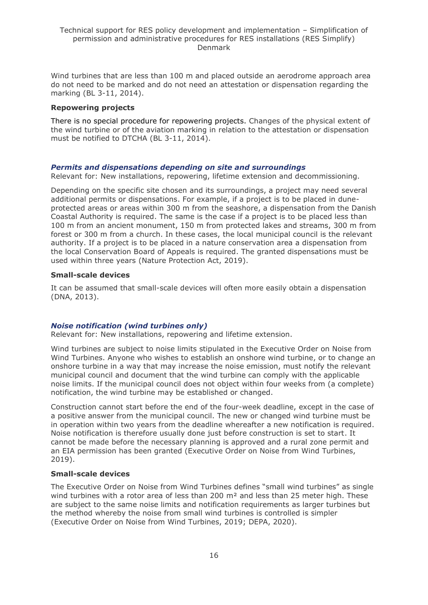Wind turbines that are less than 100 m and placed outside an aerodrome approach area do not need to be marked and do not need an attestation or dispensation regarding the marking (BL 3-11, 2014).

#### **Repowering projects**

There is no special procedure for repowering projects. Changes of the physical extent of the wind turbine or of the aviation marking in relation to the attestation or dispensation must be notified to DTCHA (BL 3-11, 2014).

#### *Permits and dispensations depending on site and surroundings*

Relevant for: New installations, repowering, lifetime extension and decommissioning.

Depending on the specific site chosen and its surroundings, a project may need several additional permits or dispensations. For example, if a project is to be placed in duneprotected areas or areas within 300 m from the seashore, a dispensation from the Danish Coastal Authority is required. The same is the case if a project is to be placed less than 100 m from an ancient monument, 150 m from protected lakes and streams, 300 m from forest or 300 m from a church. In these cases, the local municipal council is the relevant authority. If a project is to be placed in a nature conservation area a dispensation from the local Conservation Board of Appeals is required. The granted dispensations must be used within three years (Nature Protection Act, 2019).

#### **Small-scale devices**

It can be assumed that small-scale devices will often more easily obtain a dispensation (DNA, 2013).

#### *Noise notification (wind turbines only)*

Relevant for: New installations, repowering and lifetime extension.

Wind turbines are subject to noise limits stipulated in the Executive Order on Noise from Wind Turbines. Anyone who wishes to establish an onshore wind turbine, or to change an onshore turbine in a way that may increase the noise emission, must notify the relevant municipal council and document that the wind turbine can comply with the applicable noise limits. If the municipal council does not object within four weeks from (a complete) notification, the wind turbine may be established or changed.

Construction cannot start before the end of the four-week deadline, except in the case of a positive answer from the municipal council. The new or changed wind turbine must be in operation within two years from the deadline whereafter a new notification is required. Noise notification is therefore usually done just before construction is set to start. It cannot be made before the necessary planning is approved and a rural zone permit and an EIA permission has been granted (Executive Order on Noise from Wind Turbines, 2019).

#### **Small-scale devices**

The Executive Order on Noise from Wind Turbines defines "small wind turbines" as single wind turbines with a rotor area of less than 200  $m<sup>2</sup>$  and less than 25 meter high. These are subject to the same noise limits and notification requirements as larger turbines but the method whereby the noise from small wind turbines is controlled is simpler (Executive Order on Noise from Wind Turbines, 2019; DEPA, 2020).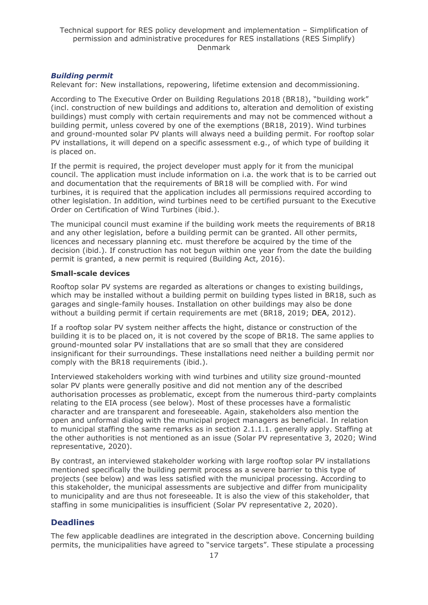#### *Building permit*

Relevant for: New installations, repowering, lifetime extension and decommissioning.

According to The Executive Order on Building Regulations 2018 (BR18), "building work" (incl. construction of new buildings and additions to, alteration and demolition of existing buildings) must comply with certain requirements and may not be commenced without a building permit, unless covered by one of the exemptions (BR18, 2019). Wind turbines and ground-mounted solar PV plants will always need a building permit. For rooftop solar PV installations, it will depend on a specific assessment e.g., of which type of building it is placed on.

If the permit is required, the project developer must apply for it from the municipal council. The application must include information on i.a. the work that is to be carried out and documentation that the requirements of BR18 will be complied with. For wind turbines, it is required that the application includes all permissions required according to other legislation. In addition, wind turbines need to be certified pursuant to the Executive Order on Certification of Wind Turbines (ibid.).

The municipal council must examine if the building work meets the requirements of BR18 and any other legislation, before a building permit can be granted. All other permits, licences and necessary planning etc. must therefore be acquired by the time of the decision (ibid.). If construction has not begun within one year from the date the building permit is granted, a new permit is required (Building Act, 2016).

#### **Small-scale devices**

Rooftop solar PV systems are regarded as alterations or changes to existing buildings, which may be installed without a building permit on building types listed in BR18, such as garages and single-family houses. Installation on other buildings may also be done without a building permit if certain requirements are met (BR18, 2019; DEA, 2012).

If a rooftop solar PV system neither affects the hight, distance or construction of the building it is to be placed on, it is not covered by the scope of BR18. The same applies to ground-mounted solar PV installations that are so small that they are considered insignificant for their surroundings. These installations need neither a building permit nor comply with the BR18 requirements (ibid.).

Interviewed stakeholders working with wind turbines and utility size ground-mounted solar PV plants were generally positive and did not mention any of the described authorisation processes as problematic, except from the numerous third-party complaints relating to the EIA process (see below). Most of these processes have a formalistic character and are transparent and foreseeable. Again, stakeholders also mention the open and unformal dialog with the municipal project managers as beneficial. In relation to municipal staffing the same remarks as in section 2.1.1.1. generally apply. Staffing at the other authorities is not mentioned as an issue (Solar PV representative 3, 2020; Wind representative, 2020).

By contrast, an interviewed stakeholder working with large rooftop solar PV installations mentioned specifically the building permit process as a severe barrier to this type of projects (see below) and was less satisfied with the municipal processing. According to this stakeholder, the municipal assessments are subjective and differ from municipality to municipality and are thus not foreseeable. It is also the view of this stakeholder, that staffing in some municipalities is insufficient (Solar PV representative 2, 2020).

## **Deadlines**

The few applicable deadlines are integrated in the description above. Concerning building permits, the municipalities have agreed to "service targets". These stipulate a processing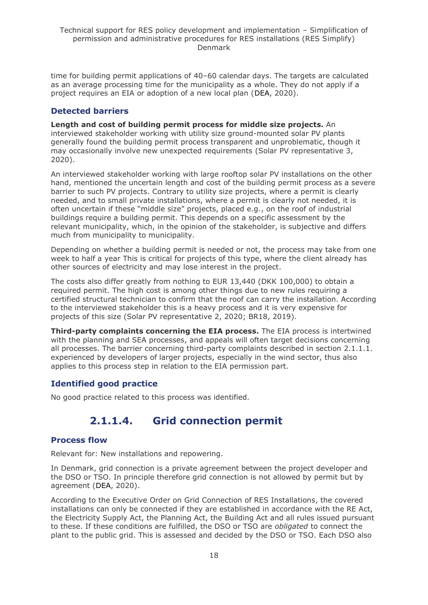time for building permit applications of 40–60 calendar days. The targets are calculated as an average processing time for the municipality as a whole. They do not apply if a project requires an EIA or adoption of a new local plan (DEA, 2020).

### **Detected barriers**

**Length and cost of building permit process for middle size projects.** An interviewed stakeholder working with utility size ground-mounted solar PV plants generally found the building permit process transparent and unproblematic, though it may occasionally involve new unexpected requirements (Solar PV representative 3, 2020).

An interviewed stakeholder working with large rooftop solar PV installations on the other hand, mentioned the uncertain length and cost of the building permit process as a severe barrier to such PV projects. Contrary to utility size projects, where a permit is clearly needed, and to small private installations, where a permit is clearly not needed, it is often uncertain if these "middle size" projects, placed e.g., on the roof of industrial buildings require a building permit. This depends on a specific assessment by the relevant municipality, which, in the opinion of the stakeholder, is subjective and differs much from municipality to municipality.

Depending on whether a building permit is needed or not, the process may take from one week to half a year This is critical for projects of this type, where the client already has other sources of electricity and may lose interest in the project.

The costs also differ greatly from nothing to EUR 13,440 (DKK 100,000) to obtain a required permit. The high cost is among other things due to new rules requiring a certified structural technician to confirm that the roof can carry the installation. According to the interviewed stakeholder this is a heavy process and it is very expensive for projects of this size (Solar PV representative 2, 2020; BR18, 2019).

**Third-party complaints concerning the EIA process.** The EIA process is intertwined with the planning and SEA processes, and appeals will often target decisions concerning all processes. The barrier concerning third-party complaints described in section 2.1.1.1. experienced by developers of larger projects, especially in the wind sector, thus also applies to this process step in relation to the EIA permission part.

## **Identified good practice**

<span id="page-17-0"></span>No good practice related to this process was identified.

## **2.1.1.4. Grid connection permit**

### **Process flow**

Relevant for: New installations and repowering.

In Denmark, grid connection is a private agreement between the project developer and the DSO or TSO. In principle therefore grid connection is not allowed by permit but by agreement (DEA, 2020).

According to the Executive Order on Grid Connection of RES Installations, the covered installations can only be connected if they are established in accordance with the RE Act, the Electricity Supply Act, the Planning Act, the Building Act and all rules issued pursuant to these. If these conditions are fulfilled, the DSO or TSO are *obligated* to connect the plant to the public grid. This is assessed and decided by the DSO or TSO. Each DSO also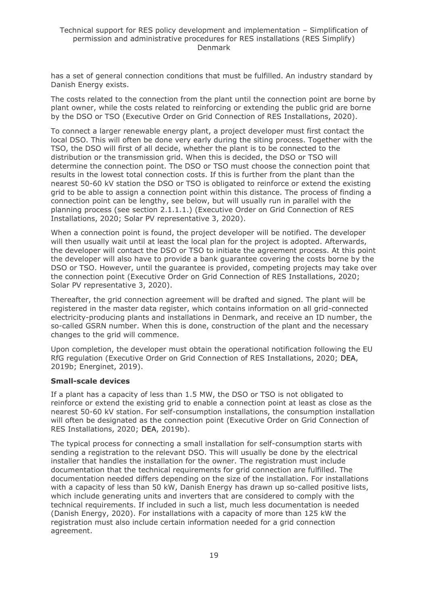has a set of general connection conditions that must be fulfilled. An industry standard by Danish Energy exists.

The costs related to the connection from the plant until the connection point are borne by plant owner, while the costs related to reinforcing or extending the public grid are borne by the DSO or TSO (Executive Order on Grid Connection of RES Installations, 2020).

To connect a larger renewable energy plant, a project developer must first contact the local DSO. This will often be done very early during the siting process. Together with the TSO, the DSO will first of all decide, whether the plant is to be connected to the distribution or the transmission grid. When this is decided, the DSO or TSO will determine the connection point. The DSO or TSO must choose the connection point that results in the lowest total connection costs. If this is further from the plant than the nearest 50-60 kV station the DSO or TSO is obligated to reinforce or extend the existing grid to be able to assign a connection point within this distance. The process of finding a connection point can be lengthy, see below, but will usually run in parallel with the planning process (see section 2.1.1.1.) (Executive Order on Grid Connection of RES Installations, 2020; Solar PV representative 3, 2020).

When a connection point is found, the project developer will be notified. The developer will then usually wait until at least the local plan for the project is adopted. Afterwards, the developer will contact the DSO or TSO to initiate the agreement process. At this point the developer will also have to provide a bank guarantee covering the costs borne by the DSO or TSO. However, until the guarantee is provided, competing projects may take over the connection point (Executive Order on Grid Connection of RES Installations, 2020; Solar PV representative 3, 2020).

Thereafter, the grid connection agreement will be drafted and signed. The plant will be registered in the master data register, which contains information on all grid-connected electricity-producing plants and installations in Denmark, and receive an ID number, the so-called GSRN number. When this is done, construction of the plant and the necessary changes to the grid will commence.

Upon completion, the developer must obtain the operational notification following the EU RfG regulation (Executive Order on Grid Connection of RES Installations, 2020; DEA, 2019b; Energinet, 2019).

#### **Small-scale devices**

If a plant has a capacity of less than 1.5 MW, the DSO or TSO is not obligated to reinforce or extend the existing grid to enable a connection point at least as close as the nearest 50-60 kV station. For self-consumption installations, the consumption installation will often be designated as the connection point (Executive Order on Grid Connection of RES Installations, 2020; DEA, 2019b).

The typical process for connecting a small installation for self-consumption starts with sending a registration to the relevant DSO. This will usually be done by the electrical installer that handles the installation for the owner. The registration must include documentation that the technical requirements for grid connection are fulfilled. The documentation needed differs depending on the size of the installation. For installations with a capacity of less than 50 kW, Danish Energy has drawn up so-called positive lists, which include generating units and inverters that are considered to comply with the technical requirements. If included in such a list, much less documentation is needed (Danish Energy, 2020). For installations with a capacity of more than 125 kW the registration must also include certain information needed for a grid connection agreement.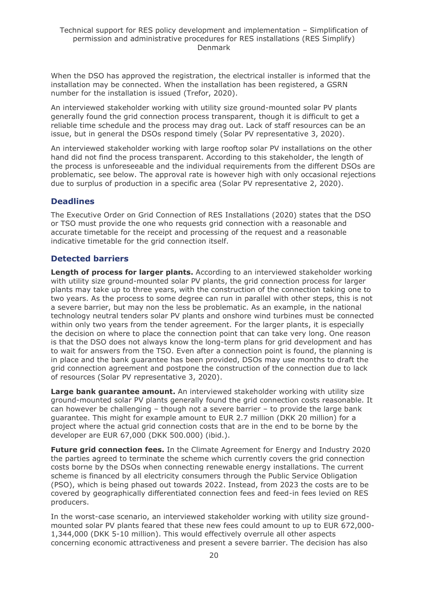When the DSO has approved the registration, the electrical installer is informed that the installation may be connected. When the installation has been registered, a GSRN number for the installation is issued (Trefor, 2020).

An interviewed stakeholder working with utility size ground-mounted solar PV plants generally found the grid connection process transparent, though it is difficult to get a reliable time schedule and the process may drag out. Lack of staff resources can be an issue, but in general the DSOs respond timely (Solar PV representative 3, 2020).

An interviewed stakeholder working with large rooftop solar PV installations on the other hand did not find the process transparent. According to this stakeholder, the length of the process is unforeseeable and the individual requirements from the different DSOs are problematic, see below. The approval rate is however high with only occasional rejections due to surplus of production in a specific area (Solar PV representative 2, 2020).

## **Deadlines**

The Executive Order on Grid Connection of RES Installations (2020) states that the DSO or TSO must provide the one who requests grid connection with a reasonable and accurate timetable for the receipt and processing of the request and a reasonable indicative timetable for the grid connection itself.

## **Detected barriers**

**Length of process for larger plants.** According to an interviewed stakeholder working with utility size ground-mounted solar PV plants, the grid connection process for larger plants may take up to three years, with the construction of the connection taking one to two years. As the process to some degree can run in parallel with other steps, this is not a severe barrier, but may non the less be problematic. As an example, in the national technology neutral tenders solar PV plants and onshore wind turbines must be connected within only two years from the tender agreement. For the larger plants, it is especially the decision on where to place the connection point that can take very long. One reason is that the DSO does not always know the long-term plans for grid development and has to wait for answers from the TSO. Even after a connection point is found, the planning is in place and the bank guarantee has been provided, DSOs may use months to draft the grid connection agreement and postpone the construction of the connection due to lack of resources (Solar PV representative 3, 2020).

**Large bank guarantee amount.** An interviewed stakeholder working with utility size ground-mounted solar PV plants generally found the grid connection costs reasonable. It can however be challenging – though not a severe barrier – to provide the large bank guarantee. This might for example amount to EUR 2.7 million (DKK 20 million) for a project where the actual grid connection costs that are in the end to be borne by the developer are EUR 67,000 (DKK 500.000) (ibid.).

**Future grid connection fees.** In the Climate Agreement for Energy and Industry 2020 the parties agreed to terminate the scheme which currently covers the grid connection costs borne by the DSOs when connecting renewable energy installations. The current scheme is financed by all electricity consumers through the Public Service Obligation (PSO), which is being phased out towards 2022. Instead, from 2023 the costs are to be covered by geographically differentiated connection fees and feed-in fees levied on RES producers.

In the worst-case scenario, an interviewed stakeholder working with utility size groundmounted solar PV plants feared that these new fees could amount to up to EUR 672,000- 1,344,000 (DKK 5-10 million). This would effectively overrule all other aspects concerning economic attractiveness and present a severe barrier. The decision has also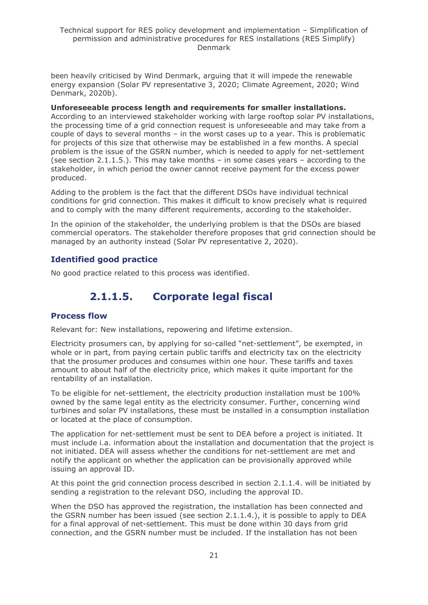been heavily criticised by Wind Denmark, arguing that it will impede the renewable energy expansion (Solar PV representative 3, 2020; Climate Agreement, 2020; Wind Denmark, 2020b).

#### **Unforeseeable process length and requirements for smaller installations.**

According to an interviewed stakeholder working with large rooftop solar PV installations, the processing time of a grid connection request is unforeseeable and may take from a couple of days to several months – in the worst cases up to a year. This is problematic for projects of this size that otherwise may be established in a few months. A special problem is the issue of the GSRN number, which is needed to apply for net-settlement (see section 2.1.1.5.). This may take months – in some cases years – according to the stakeholder, in which period the owner cannot receive payment for the excess power produced.

Adding to the problem is the fact that the different DSOs have individual technical conditions for grid connection. This makes it difficult to know precisely what is required and to comply with the many different requirements, according to the stakeholder.

In the opinion of the stakeholder, the underlying problem is that the DSOs are biased commercial operators. The stakeholder therefore proposes that grid connection should be managed by an authority instead (Solar PV representative 2, 2020).

#### **Identified good practice**

<span id="page-20-0"></span>No good practice related to this process was identified.

## **2.1.1.5. Corporate legal fiscal**

#### **Process flow**

Relevant for: New installations, repowering and lifetime extension.

Electricity prosumers can, by applying for so-called "net-settlement", be exempted, in whole or in part, from paying certain public tariffs and electricity tax on the electricity that the prosumer produces and consumes within one hour. These tariffs and taxes amount to about half of the electricity price, which makes it quite important for the rentability of an installation.

To be eligible for net-settlement, the electricity production installation must be 100% owned by the same legal entity as the electricity consumer. Further, concerning wind turbines and solar PV installations, these must be installed in a consumption installation or located at the place of consumption.

The application for net-settlement must be sent to DEA before a project is initiated. It must include i.a. information about the installation and documentation that the project is not initiated. DEA will assess whether the conditions for net-settlement are met and notify the applicant on whether the application can be provisionally approved while issuing an approval ID.

At this point the grid connection process described in section 2.1.1.4. will be initiated by sending a registration to the relevant DSO, including the approval ID.

When the DSO has approved the registration, the installation has been connected and the GSRN number has been issued (see section 2.1.1.4.), it is possible to apply to DEA for a final approval of net-settlement. This must be done within 30 days from grid connection, and the GSRN number must be included. If the installation has not been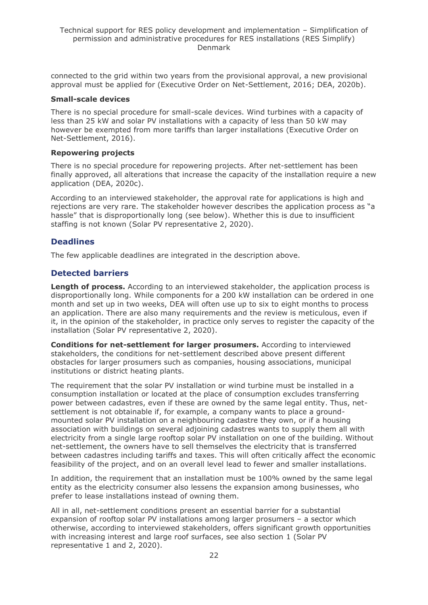connected to the grid within two years from the provisional approval, a new provisional approval must be applied for (Executive Order on Net-Settlement, 2016; DEA, 2020b).

#### **Small-scale devices**

There is no special procedure for small-scale devices. Wind turbines with a capacity of less than 25 kW and solar PV installations with a capacity of less than 50 kW may however be exempted from more tariffs than larger installations (Executive Order on Net-Settlement, 2016).

#### **Repowering projects**

There is no special procedure for repowering projects. After net-settlement has been finally approved, all alterations that increase the capacity of the installation require a new application (DEA, 2020c).

According to an interviewed stakeholder, the approval rate for applications is high and rejections are very rare. The stakeholder however describes the application process as "a hassle" that is disproportionally long (see below). Whether this is due to insufficient staffing is not known (Solar PV representative 2, 2020).

## **Deadlines**

The few applicable deadlines are integrated in the description above.

### **Detected barriers**

**Length of process.** According to an interviewed stakeholder, the application process is disproportionally long. While components for a 200 kW installation can be ordered in one month and set up in two weeks, DEA will often use up to six to eight months to process an application. There are also many requirements and the review is meticulous, even if it, in the opinion of the stakeholder, in practice only serves to register the capacity of the installation (Solar PV representative 2, 2020).

**Conditions for net-settlement for larger prosumers.** According to interviewed stakeholders, the conditions for net-settlement described above present different obstacles for larger prosumers such as companies, housing associations, municipal institutions or district heating plants.

The requirement that the solar PV installation or wind turbine must be installed in a consumption installation or located at the place of consumption excludes transferring power between cadastres, even if these are owned by the same legal entity. Thus, netsettlement is not obtainable if, for example, a company wants to place a groundmounted solar PV installation on a neighbouring cadastre they own, or if a housing association with buildings on several adjoining cadastres wants to supply them all with electricity from a single large rooftop solar PV installation on one of the building. Without net-settlement, the owners have to sell themselves the electricity that is transferred between cadastres including tariffs and taxes. This will often critically affect the economic feasibility of the project, and on an overall level lead to fewer and smaller installations.

In addition, the requirement that an installation must be 100% owned by the same legal entity as the electricity consumer also lessens the expansion among businesses, who prefer to lease installations instead of owning them.

All in all, net-settlement conditions present an essential barrier for a substantial expansion of rooftop solar PV installations among larger prosumers – a sector which otherwise, according to interviewed stakeholders, offers significant growth opportunities with increasing interest and large roof surfaces, see also section 1 (Solar PV representative 1 and 2, 2020).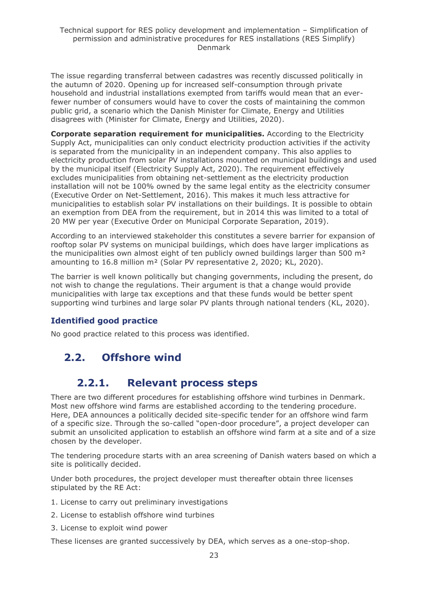The issue regarding transferral between cadastres was recently discussed politically in the autumn of 2020. Opening up for increased self-consumption through private household and industrial installations exempted from tariffs would mean that an everfewer number of consumers would have to cover the costs of maintaining the common public grid, a scenario which the Danish Minister for Climate, Energy and Utilities disagrees with (Minister for Climate, Energy and Utilities, 2020).

**Corporate separation requirement for municipalities.** According to the Electricity Supply Act, municipalities can only conduct electricity production activities if the activity is separated from the municipality in an independent company. This also applies to electricity production from solar PV installations mounted on municipal buildings and used by the municipal itself (Electricity Supply Act, 2020). The requirement effectively excludes municipalities from obtaining net-settlement as the electricity production installation will not be 100% owned by the same legal entity as the electricity consumer (Executive Order on Net-Settlement, 2016). This makes it much less attractive for municipalities to establish solar PV installations on their buildings. It is possible to obtain an exemption from DEA from the requirement, but in 2014 this was limited to a total of 20 MW per year (Executive Order on Municipal Corporate Separation, 2019).

According to an interviewed stakeholder this constitutes a severe barrier for expansion of rooftop solar PV systems on municipal buildings, which does have larger implications as the municipalities own almost eight of ten publicly owned buildings larger than 500 m<sup>2</sup> amounting to 16.8 million m² (Solar PV representative 2, 2020; KL, 2020).

The barrier is well known politically but changing governments, including the present, do not wish to change the regulations. Their argument is that a change would provide municipalities with large tax exceptions and that these funds would be better spent supporting wind turbines and large solar PV plants through national tenders (KL, 2020).

## **Identified good practice**

<span id="page-22-0"></span>No good practice related to this process was identified.

## <span id="page-22-1"></span>**2.2. Offshore wind**

## **2.2.1. Relevant process steps**

There are two different procedures for establishing offshore wind turbines in Denmark. Most new offshore wind farms are established according to the tendering procedure. Here, DEA announces a politically decided site-specific tender for an offshore wind farm of a specific size. Through the so-called "open-door procedure", a project developer can submit an unsolicited application to establish an offshore wind farm at a site and of a size chosen by the developer.

The tendering procedure starts with an area screening of Danish waters based on which a site is politically decided.

Under both procedures, the project developer must thereafter obtain three licenses stipulated by the RE Act:

1. License to carry out preliminary investigations

- 2. License to establish offshore wind turbines
- 3. License to exploit wind power

These licenses are granted successively by DEA, which serves as a one-stop-shop.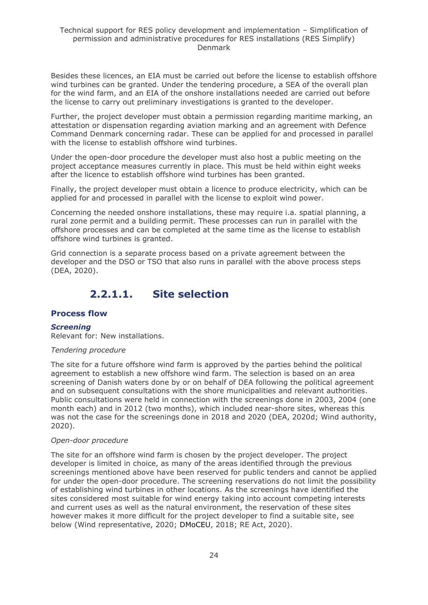Besides these licences, an EIA must be carried out before the license to establish offshore wind turbines can be granted. Under the tendering procedure, a SEA of the overall plan for the wind farm, and an EIA of the onshore installations needed are carried out before the license to carry out preliminary investigations is granted to the developer.

Further, the project developer must obtain a permission regarding maritime marking, an attestation or dispensation regarding aviation marking and an agreement with Defence Command Denmark concerning radar. These can be applied for and processed in parallel with the license to establish offshore wind turbines.

Under the open-door procedure the developer must also host a public meeting on the project acceptance measures currently in place. This must be held within eight weeks after the licence to establish offshore wind turbines has been granted.

Finally, the project developer must obtain a licence to produce electricity, which can be applied for and processed in parallel with the license to exploit wind power.

Concerning the needed onshore installations, these may require i.a. spatial planning, a rural zone permit and a building permit. These processes can run in parallel with the offshore processes and can be completed at the same time as the license to establish offshore wind turbines is granted.

Grid connection is a separate process based on a private agreement between the developer and the DSO or TSO that also runs in parallel with the above process steps (DEA, 2020).

## **2.2.1.1. Site selection**

### <span id="page-23-0"></span>**Process flow**

### *Screening*

Relevant for: New installations.

#### *Tendering procedure*

The site for a future offshore wind farm is approved by the parties behind the political agreement to establish a new offshore wind farm. The selection is based on an area screening of Danish waters done by or on behalf of DEA following the political agreement and on subsequent consultations with the shore municipalities and relevant authorities. Public consultations were held in connection with the screenings done in 2003, 2004 (one month each) and in 2012 (two months), which included near-shore sites, whereas this was not the case for the screenings done in 2018 and 2020 (DEA, 2020d; Wind authority, 2020).

#### *Open-door procedure*

The site for an offshore wind farm is chosen by the project developer. The project developer is limited in choice, as many of the areas identified through the previous screenings mentioned above have been reserved for public tenders and cannot be applied for under the open-door procedure. The screening reservations do not limit the possibility of establishing wind turbines in other locations. As the screenings have identified the sites considered most suitable for wind energy taking into account competing interests and current uses as well as the natural environment, the reservation of these sites however makes it more difficult for the project developer to find a suitable site, see below (Wind representative, 2020; DMoCEU, 2018; RE Act, 2020).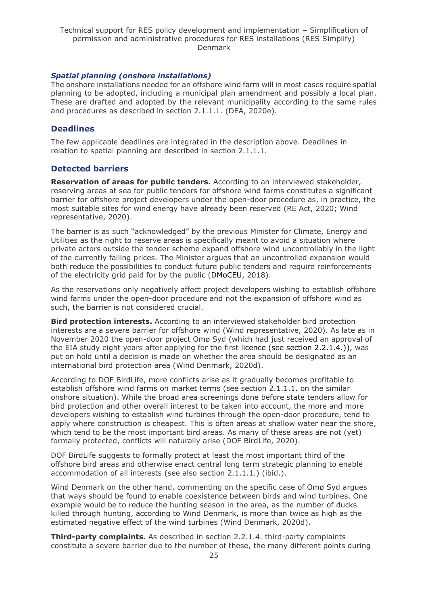### *Spatial planning (onshore installations)*

The onshore installations needed for an offshore wind farm will in most cases require spatial planning to be adopted, including a municipal plan amendment and possibly a local plan. These are drafted and adopted by the relevant municipality according to the same rules and procedures as described in section 2.1.1.1. (DEA, 2020e).

### **Deadlines**

The few applicable deadlines are integrated in the description above. Deadlines in relation to spatial planning are described in section 2.1.1.1.

### **Detected barriers**

**Reservation of areas for public tenders.** According to an interviewed stakeholder, reserving areas at sea for public tenders for offshore wind farms constitutes a significant barrier for offshore project developers under the open-door procedure as, in practice, the most suitable sites for wind energy have already been reserved (RE Act, 2020; Wind representative, 2020).

The barrier is as such "acknowledged" by the previous Minister for Climate, Energy and Utilities as the right to reserve areas is specifically meant to avoid a situation where private actors outside the tender scheme expand offshore wind uncontrollably in the light of the currently falling prices. The Minister argues that an uncontrolled expansion would both reduce the possibilities to conduct future public tenders and require reinforcements of the electricity grid paid for by the public (DMoCEU, 2018).

As the reservations only negatively affect project developers wishing to establish offshore wind farms under the open-door procedure and not the expansion of offshore wind as such, the barrier is not considered crucial.

**Bird protection interests.** According to an interviewed stakeholder bird protection interests are a severe barrier for offshore wind (Wind representative, 2020). As late as in November 2020 the open-door project Omø Syd (which had just received an approval of the EIA study eight years after applying for the first licence (see section 2.2.1.4.)), was put on hold until a decision is made on whether the area should be designated as an international bird protection area (Wind Denmark, 2020d).

According to DOF BirdLife, more conflicts arise as it gradually becomes profitable to establish offshore wind farms on market terms (see section 2.1.1.1. on the similar onshore situation). While the broad area screenings done before state tenders allow for bird protection and other overall interest to be taken into account, the more and more developers wishing to establish wind turbines through the open-door procedure, tend to apply where construction is cheapest. This is often areas at shallow water near the shore, which tend to be the most important bird areas. As many of these areas are not (yet) formally protected, conflicts will naturally arise (DOF BirdLife, 2020).

DOF BirdLife suggests to formally protect at least the most important third of the offshore bird areas and otherwise enact central long term strategic planning to enable accommodation of all interests (see also section 2.1.1.1.) (ibid.).

Wind Denmark on the other hand, commenting on the specific case of Omø Syd argues that ways should be found to enable coexistence between birds and wind turbines. One example would be to reduce the hunting season in the area, as the number of ducks killed through hunting, according to Wind Denmark, is more than twice as high as the estimated negative effect of the wind turbines (Wind Denmark, 2020d).

**Third-party complaints.** As described in section 2.2.1.4. third-party complaints constitute a severe barrier due to the number of these, the many different points during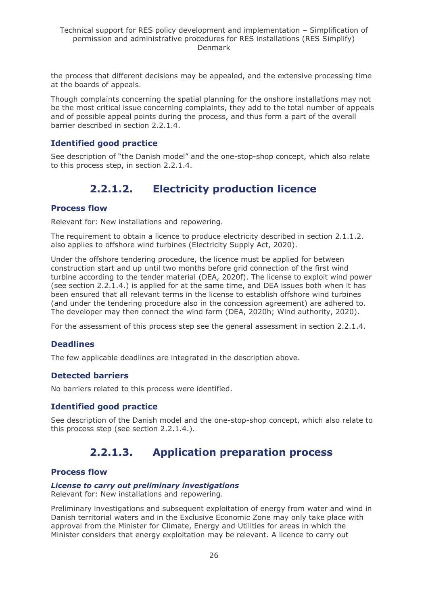the process that different decisions may be appealed, and the extensive processing time at the boards of appeals.

Though complaints concerning the spatial planning for the onshore installations may not be the most critical issue concerning complaints, they add to the total number of appeals and of possible appeal points during the process, and thus form a part of the overall barrier described in section 2.2.1.4.

### **Identified good practice**

<span id="page-25-0"></span>See description of "the Danish model" and the one-stop-shop concept, which also relate to this process step, in section 2.2.1.4.

## **2.2.1.2. Electricity production licence**

#### **Process flow**

Relevant for: New installations and repowering.

The requirement to obtain a licence to produce electricity described in section 2.1.1.2. also applies to offshore wind turbines (Electricity Supply Act, 2020).

Under the offshore tendering procedure, the licence must be applied for between construction start and up until two months before grid connection of the first wind turbine according to the tender material (DEA, 2020f). The license to exploit wind power (see section 2.2.1.4.) is applied for at the same time, and DEA issues both when it has been ensured that all relevant terms in the license to establish offshore wind turbines (and under the tendering procedure also in the concession agreement) are adhered to. The developer may then connect the wind farm (DEA, 2020h; Wind authority, 2020).

For the assessment of this process step see the general assessment in section 2.2.1.4.

### **Deadlines**

The few applicable deadlines are integrated in the description above.

#### **Detected barriers**

No barriers related to this process were identified.

### **Identified good practice**

<span id="page-25-1"></span>See description of the Danish model and the one-stop-shop concept, which also relate to this process step (see section 2.2.1.4.).

## **2.2.1.3. Application preparation process**

#### **Process flow**

#### *License to carry out preliminary investigations*

Relevant for: New installations and repowering.

Preliminary investigations and subsequent exploitation of energy from water and wind in Danish territorial waters and in the Exclusive Economic Zone may only take place with approval from the Minister for Climate, Energy and Utilities for areas in which the Minister considers that energy exploitation may be relevant. A licence to carry out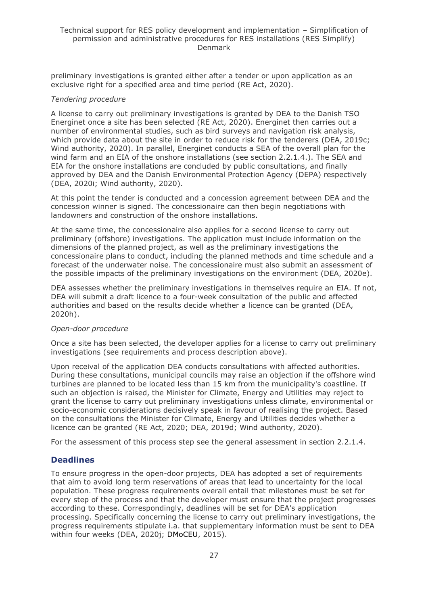preliminary investigations is granted either after a tender or upon application as an exclusive right for a specified area and time period (RE Act, 2020).

#### *Tendering procedure*

A license to carry out preliminary investigations is granted by DEA to the Danish TSO Energinet once a site has been selected (RE Act, 2020). Energinet then carries out a number of environmental studies, such as bird surveys and navigation risk analysis, which provide data about the site in order to reduce risk for the tenderers (DEA, 2019c; Wind authority, 2020). In parallel, Energinet conducts a SEA of the overall plan for the wind farm and an EIA of the onshore installations (see section 2.2.1.4.). The SEA and EIA for the onshore installations are concluded by public consultations, and finally approved by DEA and the Danish Environmental Protection Agency (DEPA) respectively (DEA, 2020i; Wind authority, 2020).

At this point the tender is conducted and a concession agreement between DEA and the concession winner is signed. The concessionaire can then begin negotiations with landowners and construction of the onshore installations.

At the same time, the concessionaire also applies for a second license to carry out preliminary (offshore) investigations. The application must include information on the dimensions of the planned project, as well as the preliminary investigations the concessionaire plans to conduct, including the planned methods and time schedule and a forecast of the underwater noise. The concessionaire must also submit an assessment of the possible impacts of the preliminary investigations on the environment (DEA, 2020e).

DEA assesses whether the preliminary investigations in themselves require an EIA. If not, DEA will submit a draft licence to a four-week consultation of the public and affected authorities and based on the results decide whether a licence can be granted (DEA, 2020h).

#### *Open-door procedure*

Once a site has been selected, the developer applies for a license to carry out preliminary investigations (see requirements and process description above).

Upon receival of the application DEA conducts consultations with affected authorities. During these consultations, municipal councils may raise an objection if the offshore wind turbines are planned to be located less than 15 km from the municipality's coastline. If such an objection is raised, the Minister for Climate, Energy and Utilities may reject to grant the license to carry out preliminary investigations unless climate, environmental or socio-economic considerations decisively speak in favour of realising the project. Based on the consultations the Minister for Climate, Energy and Utilities decides whether a licence can be granted (RE Act, 2020; DEA, 2019d; Wind authority, 2020).

For the assessment of this process step see the general assessment in section 2.2.1.4.

### **Deadlines**

To ensure progress in the open-door projects, DEA has adopted a set of requirements that aim to avoid long term reservations of areas that lead to uncertainty for the local population. These progress requirements overall entail that milestones must be set for every step of the process and that the developer must ensure that the project progresses according to these. Correspondingly, deadlines will be set for DEA's application processing. Specifically concerning the license to carry out preliminary investigations, the progress requirements stipulate i.a. that supplementary information must be sent to DEA within four weeks (DEA, 2020j; DMoCEU, 2015).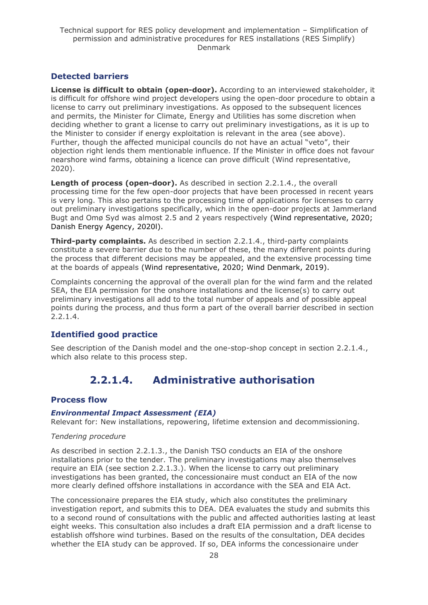## **Detected barriers**

**License is difficult to obtain (open-door).** According to an interviewed stakeholder, it is difficult for offshore wind project developers using the open-door procedure to obtain a license to carry out preliminary investigations. As opposed to the subsequent licences and permits, the Minister for Climate, Energy and Utilities has some discretion when deciding whether to grant a license to carry out preliminary investigations, as it is up to the Minister to consider if energy exploitation is relevant in the area (see above). Further, though the affected municipal councils do not have an actual "veto", their objection right lends them mentionable influence. If the Minister in office does not favour nearshore wind farms, obtaining a licence can prove difficult (Wind representative, 2020).

**Length of process (open-door).** As described in section 2.2.1.4., the overall processing time for the few open-door projects that have been processed in recent years is very long. This also pertains to the processing time of applications for licenses to carry out preliminary investigations specifically, which in the open-door projects at Jammerland Bugt and Omø Syd was almost 2.5 and 2 years respectively (Wind representative, 2020; Danish Energy Agency, 2020l).

**Third-party complaints.** As described in section 2.2.1.4., third-party complaints constitute a severe barrier due to the number of these, the many different points during the process that different decisions may be appealed, and the extensive processing time at the boards of appeals (Wind representative, 2020; Wind Denmark, 2019).

Complaints concerning the approval of the overall plan for the wind farm and the related SEA, the EIA permission for the onshore installations and the license(s) to carry out preliminary investigations all add to the total number of appeals and of possible appeal points during the process, and thus form a part of the overall barrier described in section 2.2.1.4.

## **Identified good practice**

<span id="page-27-0"></span>See description of the Danish model and the one-stop-shop concept in section 2.2.1.4., which also relate to this process step.

## **2.2.1.4. Administrative authorisation**

## **Process flow**

### *Environmental Impact Assessment (EIA)*

Relevant for: New installations, repowering, lifetime extension and decommissioning.

### *Tendering procedure*

As described in section 2.2.1.3., the Danish TSO conducts an EIA of the onshore installations prior to the tender. The preliminary investigations may also themselves require an EIA (see section 2.2.1.3.). When the license to carry out preliminary investigations has been granted, the concessionaire must conduct an EIA of the now more clearly defined offshore installations in accordance with the SEA and EIA Act.

The concessionaire prepares the EIA study, which also constitutes the preliminary investigation report, and submits this to DEA. DEA evaluates the study and submits this to a second round of consultations with the public and affected authorities lasting at least eight weeks. This consultation also includes a draft EIA permission and a draft license to establish offshore wind turbines. Based on the results of the consultation, DEA decides whether the EIA study can be approved. If so, DEA informs the concessionaire under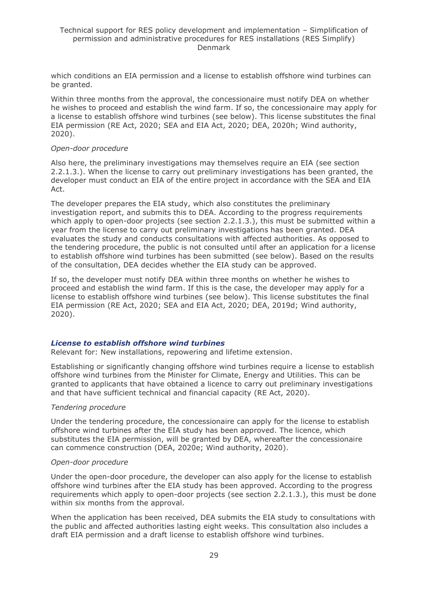which conditions an EIA permission and a license to establish offshore wind turbines can be granted.

Within three months from the approval, the concessionaire must notify DEA on whether he wishes to proceed and establish the wind farm. If so, the concessionaire may apply for a license to establish offshore wind turbines (see below). This license substitutes the final EIA permission (RE Act, 2020; SEA and EIA Act, 2020; DEA, 2020h; Wind authority, 2020).

#### *Open-door procedure*

Also here, the preliminary investigations may themselves require an EIA (see section 2.2.1.3.). When the license to carry out preliminary investigations has been granted, the developer must conduct an EIA of the entire project in accordance with the SEA and EIA Act.

The developer prepares the EIA study, which also constitutes the preliminary investigation report, and submits this to DEA. According to the progress requirements which apply to open-door projects (see section 2.2.1.3.), this must be submitted within a year from the license to carry out preliminary investigations has been granted. DEA evaluates the study and conducts consultations with affected authorities. As opposed to the tendering procedure, the public is not consulted until after an application for a license to establish offshore wind turbines has been submitted (see below). Based on the results of the consultation, DEA decides whether the EIA study can be approved.

If so, the developer must notify DEA within three months on whether he wishes to proceed and establish the wind farm. If this is the case, the developer may apply for a license to establish offshore wind turbines (see below). This license substitutes the final EIA permission (RE Act, 2020; SEA and EIA Act, 2020; DEA, 2019d; Wind authority, 2020).

#### *License to establish offshore wind turbines*

Relevant for: New installations, repowering and lifetime extension.

Establishing or significantly changing offshore wind turbines require a license to establish offshore wind turbines from the Minister for Climate, Energy and Utilities. This can be granted to applicants that have obtained a licence to carry out preliminary investigations and that have sufficient technical and financial capacity (RE Act, 2020).

#### *Tendering procedure*

Under the tendering procedure, the concessionaire can apply for the license to establish offshore wind turbines after the EIA study has been approved. The licence, which substitutes the EIA permission, will be granted by DEA, whereafter the concessionaire can commence construction (DEA, 2020e; Wind authority, 2020).

#### *Open-door procedure*

Under the open-door procedure, the developer can also apply for the license to establish offshore wind turbines after the EIA study has been approved. According to the progress requirements which apply to open-door projects (see section 2.2.1.3.), this must be done within six months from the approval.

When the application has been received, DEA submits the EIA study to consultations with the public and affected authorities lasting eight weeks. This consultation also includes a draft EIA permission and a draft license to establish offshore wind turbines.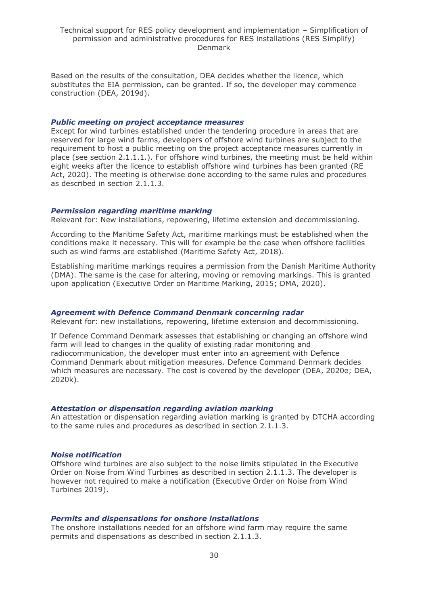Based on the results of the consultation, DEA decides whether the licence, which substitutes the EIA permission, can be granted. If so, the developer may commence construction (DEA, 2019d).

#### *Public meeting on project acceptance measures*

Except for wind turbines established under the tendering procedure in areas that are reserved for large wind farms, developers of offshore wind turbines are subject to the requirement to host a public meeting on the project acceptance measures currently in place (see section 2.1.1.1.). For offshore wind turbines, the meeting must be held within eight weeks after the licence to establish offshore wind turbines has been granted (RE Act, 2020). The meeting is otherwise done according to the same rules and procedures as described in section 2.1.1.3.

#### *Permission regarding maritime marking*

Relevant for: New installations, repowering, lifetime extension and decommissioning.

According to the Maritime Safety Act, maritime markings must be established when the conditions make it necessary. This will for example be the case when offshore facilities such as wind farms are established (Maritime Safety Act, 2018).

Establishing maritime markings requires a permission from the Danish Maritime Authority (DMA). The same is the case for altering, moving or removing markings. This is granted upon application (Executive Order on Maritime Marking, 2015; DMA, 2020).

#### *Agreement with Defence Command Denmark concerning radar*

Relevant for: new installations, repowering, lifetime extension and decommissioning.

If Defence Command Denmark assesses that establishing or changing an offshore wind farm will lead to changes in the quality of existing radar monitoring and radiocommunication, the developer must enter into an agreement with Defence Command Denmark about mitigation measures. Defence Command Denmark decides which measures are necessary. The cost is covered by the developer (DEA, 2020e; DEA, 2020k).

#### *Attestation or dispensation regarding aviation marking*

An attestation or dispensation regarding aviation marking is granted by DTCHA according to the same rules and procedures as described in section 2.1.1.3.

#### *Noise notification*

Offshore wind turbines are also subject to the noise limits stipulated in the Executive Order on Noise from Wind Turbines as described in section 2.1.1.3. The developer is however not required to make a notification (Executive Order on Noise from Wind Turbines 2019).

#### *Permits and dispensations for onshore installations*

The onshore installations needed for an offshore wind farm may require the same permits and dispensations as described in section 2.1.1.3.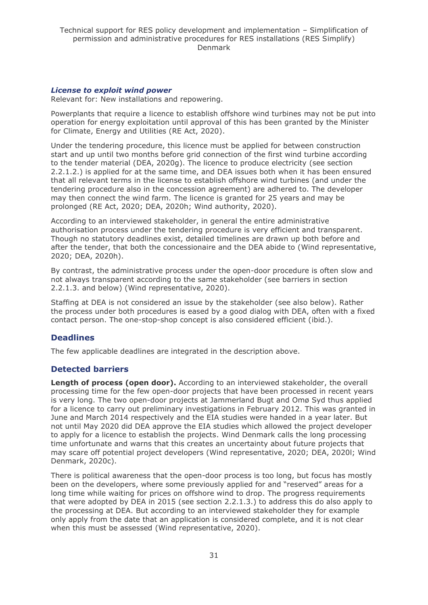#### *License to exploit wind power*

Relevant for: New installations and repowering.

Powerplants that require a licence to establish offshore wind turbines may not be put into operation for energy exploitation until approval of this has been granted by the Minister for Climate, Energy and Utilities (RE Act, 2020).

Under the tendering procedure, this licence must be applied for between construction start and up until two months before grid connection of the first wind turbine according to the tender material (DEA, 2020g). The licence to produce electricity (see section 2.2.1.2.) is applied for at the same time, and DEA issues both when it has been ensured that all relevant terms in the license to establish offshore wind turbines (and under the tendering procedure also in the concession agreement) are adhered to. The developer may then connect the wind farm. The licence is granted for 25 years and may be prolonged (RE Act, 2020; DEA, 2020h; Wind authority, 2020).

According to an interviewed stakeholder, in general the entire administrative authorisation process under the tendering procedure is very efficient and transparent. Though no statutory deadlines exist, detailed timelines are drawn up both before and after the tender, that both the concessionaire and the DEA abide to (Wind representative, 2020; DEA, 2020h).

By contrast, the administrative process under the open-door procedure is often slow and not always transparent according to the same stakeholder (see barriers in section 2.2.1.3. and below) (Wind representative, 2020).

Staffing at DEA is not considered an issue by the stakeholder (see also below). Rather the process under both procedures is eased by a good dialog with DEA, often with a fixed contact person. The one-stop-shop concept is also considered efficient (ibid.).

## **Deadlines**

The few applicable deadlines are integrated in the description above.

## **Detected barriers**

**Length of process (open door).** According to an interviewed stakeholder, the overall processing time for the few open-door projects that have been processed in recent years is very long. The two open-door projects at Jammerland Bugt and Omø Syd thus applied for a licence to carry out preliminary investigations in February 2012. This was granted in June and March 2014 respectively and the EIA studies were handed in a year later. But not until May 2020 did DEA approve the EIA studies which allowed the project developer to apply for a licence to establish the projects. Wind Denmark calls the long processing time unfortunate and warns that this creates an uncertainty about future projects that may scare off potential project developers (Wind representative, 2020; DEA, 2020l; Wind Denmark, 2020c).

There is political awareness that the open-door process is too long, but focus has mostly been on the developers, where some previously applied for and "reserved" areas for a long time while waiting for prices on offshore wind to drop. The progress requirements that were adopted by DEA in 2015 (see section 2.2.1.3.) to address this do also apply to the processing at DEA. But according to an interviewed stakeholder they for example only apply from the date that an application is considered complete, and it is not clear when this must be assessed (Wind representative, 2020).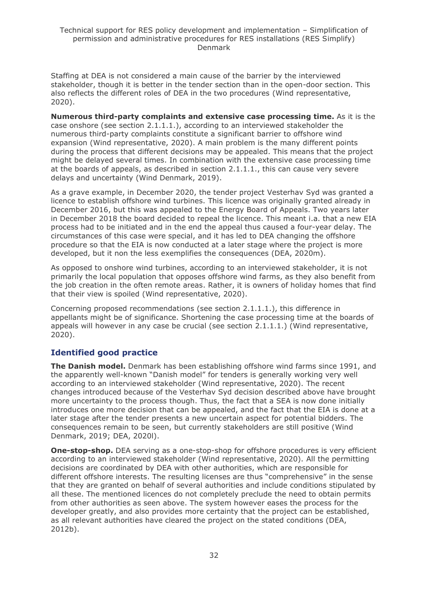Staffing at DEA is not considered a main cause of the barrier by the interviewed stakeholder, though it is better in the tender section than in the open-door section. This also reflects the different roles of DEA in the two procedures (Wind representative, 2020).

**Numerous third-party complaints and extensive case processing time.** As it is the case onshore (see section 2.1.1.1.), according to an interviewed stakeholder the numerous third-party complaints constitute a significant barrier to offshore wind expansion (Wind representative, 2020). A main problem is the many different points during the process that different decisions may be appealed. This means that the project might be delayed several times. In combination with the extensive case processing time at the boards of appeals, as described in section 2.1.1.1., this can cause very severe delays and uncertainty (Wind Denmark, 2019).

As a grave example, in December 2020, the tender project Vesterhav Syd was granted a licence to establish offshore wind turbines. This licence was originally granted already in December 2016, but this was appealed to the Energy Board of Appeals. Two years later in December 2018 the board decided to repeal the licence. This meant i.a. that a new EIA process had to be initiated and in the end the appeal thus caused a four-year delay. The circumstances of this case were special, and it has led to DEA changing the offshore procedure so that the EIA is now conducted at a later stage where the project is more developed, but it non the less exemplifies the consequences (DEA, 2020m).

As opposed to onshore wind turbines, according to an interviewed stakeholder, it is not primarily the local population that opposes offshore wind farms, as they also benefit from the job creation in the often remote areas. Rather, it is owners of holiday homes that find that their view is spoiled (Wind representative, 2020).

Concerning proposed recommendations (see section 2.1.1.1.), this difference in appellants might be of significance. Shortening the case processing time at the boards of appeals will however in any case be crucial (see section 2.1.1.1.) (Wind representative, 2020).

## **Identified good practice**

**The Danish model.** Denmark has been establishing offshore wind farms since 1991, and the apparently well-known "Danish model" for tenders is generally working very well according to an interviewed stakeholder (Wind representative, 2020). The recent changes introduced because of the Vesterhav Syd decision described above have brought more uncertainty to the process though. Thus, the fact that a SEA is now done initially introduces one more decision that can be appealed, and the fact that the EIA is done at a later stage after the tender presents a new uncertain aspect for potential bidders. The consequences remain to be seen, but currently stakeholders are still positive (Wind Denmark, 2019; DEA, 2020l).

**One-stop-shop.** DEA serving as a one-stop-shop for offshore procedures is very efficient according to an interviewed stakeholder (Wind representative, 2020). All the permitting decisions are coordinated by DEA with other authorities, which are responsible for different offshore interests. The resulting licenses are thus "comprehensive" in the sense that they are granted on behalf of several authorities and include conditions stipulated by all these. The mentioned licences do not completely preclude the need to obtain permits from other authorities as seen above. The system however eases the process for the developer greatly, and also provides more certainty that the project can be established, as all relevant authorities have cleared the project on the stated conditions (DEA, 2012b).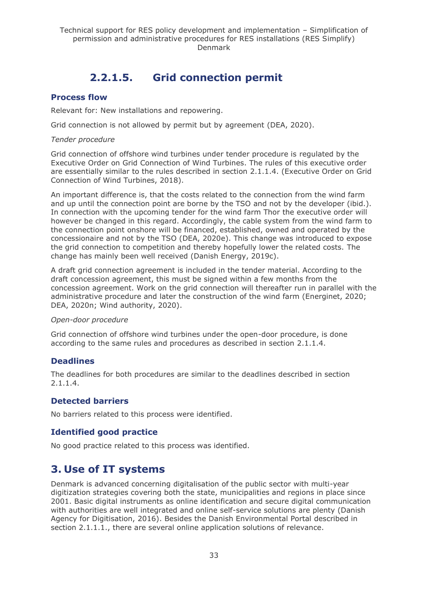## **2.2.1.5. Grid connection permit**

### <span id="page-32-0"></span>**Process flow**

Relevant for: New installations and repowering.

Grid connection is not allowed by permit but by agreement (DEA, 2020).

#### *Tender procedure*

Grid connection of offshore wind turbines under tender procedure is regulated by the Executive Order on Grid Connection of Wind Turbines. The rules of this executive order are essentially similar to the rules described in section 2.1.1.4. (Executive Order on Grid Connection of Wind Turbines, 2018).

An important difference is, that the costs related to the connection from the wind farm and up until the connection point are borne by the TSO and not by the developer (ibid.). In connection with the upcoming tender for the wind farm Thor the executive order will however be changed in this regard. Accordingly, the cable system from the wind farm to the connection point onshore will be financed, established, owned and operated by the concessionaire and not by the TSO (DEA, 2020e). This change was introduced to expose the grid connection to competition and thereby hopefully lower the related costs. The change has mainly been well received (Danish Energy, 2019c).

A draft grid connection agreement is included in the tender material. According to the draft concession agreement, this must be signed within a few months from the concession agreement. Work on the grid connection will thereafter run in parallel with the administrative procedure and later the construction of the wind farm (Energinet, 2020; DEA, 2020n; Wind authority, 2020).

#### *Open-door procedure*

Grid connection of offshore wind turbines under the open-door procedure, is done according to the same rules and procedures as described in section 2.1.1.4.

## **Deadlines**

The deadlines for both procedures are similar to the deadlines described in section 2.1.1.4.

### **Detected barriers**

No barriers related to this process were identified.

## **Identified good practice**

No good practice related to this process was identified.

## <span id="page-32-1"></span>**3. Use of IT systems**

Denmark is advanced concerning digitalisation of the public sector with multi-year digitization strategies covering both the state, municipalities and regions in place since 2001. Basic digital instruments as online identification and secure digital communication with authorities are well integrated and online self-service solutions are plenty (Danish Agency for Digitisation, 2016). Besides the Danish Environmental Portal described in section 2.1.1.1., there are several online application solutions of relevance.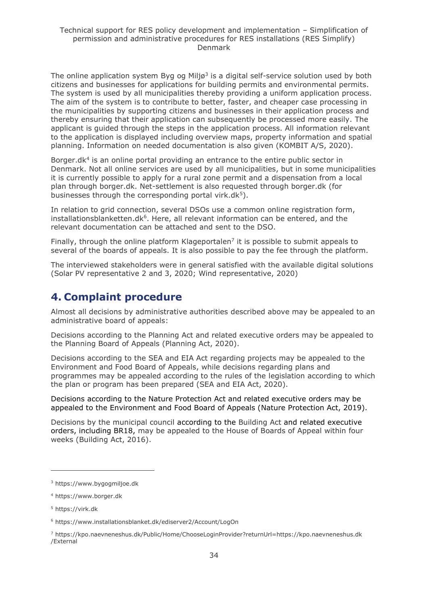The online application system Byg og Miljø<sup>3</sup> is a digital self-service solution used by both citizens and businesses for applications for building permits and environmental permits. The system is used by all municipalities thereby providing a uniform application process. The aim of the system is to contribute to better, faster, and cheaper case processing in the municipalities by supporting citizens and businesses in their application process and thereby ensuring that their application can subsequently be processed more easily. The applicant is guided through the steps in the application process. All information relevant to the application is displayed including overview maps, property information and spatial planning. Information on needed documentation is also given (KOMBIT A/S, 2020).

Borger.dk<sup>4</sup> is an online portal providing an entrance to the entire public sector in Denmark. Not all online services are used by all municipalities, but in some municipalities it is currently possible to apply for a rural zone permit and a dispensation from a local plan through borger.dk. Net-settlement is also requested through borger.dk (for businesses through the corresponding portal virk.dk<sup>5</sup>).

In relation to grid connection, several DSOs use a common online registration form, installationsblanketten.dk<sup>6</sup>. Here, all relevant information can be entered, and the relevant documentation can be attached and sent to the DSO.

Finally, through the online platform Klageportalen<sup>7</sup> it is possible to submit appeals to several of the boards of appeals. It is also possible to pay the fee through the platform.

The interviewed stakeholders were in general satisfied with the available digital solutions (Solar PV representative 2 and 3, 2020; Wind representative, 2020)

## <span id="page-33-0"></span>**4. Complaint procedure**

Almost all decisions by administrative authorities described above may be appealed to an administrative board of appeals:

Decisions according to the Planning Act and related executive orders may be appealed to the Planning Board of Appeals (Planning Act, 2020).

Decisions according to the SEA and EIA Act regarding projects may be appealed to the Environment and Food Board of Appeals, while decisions regarding plans and programmes may be appealed according to the rules of the legislation according to which the plan or program has been prepared (SEA and EIA Act, 2020).

Decisions according to the Nature Protection Act and related executive orders may be appealed to the Environment and Food Board of Appeals (Nature Protection Act, 2019).

Decisions by the municipal council according to the Building Act and related executive orders, including BR18, may be appealed to the House of Boards of Appeal within four weeks (Building Act, 2016).

<sup>3</sup> https://www.bygogmiljoe.dk

<sup>4</sup> https://www.borger.dk

<sup>5</sup> https://virk.dk

<sup>6</sup> https://www.installationsblanket.dk/ediserver2/Account/LogOn

<sup>7</sup> https://kpo.naevneneshus.dk/Public/Home/ChooseLoginProvider?returnUrl=https://kpo.naevneneshus.dk /External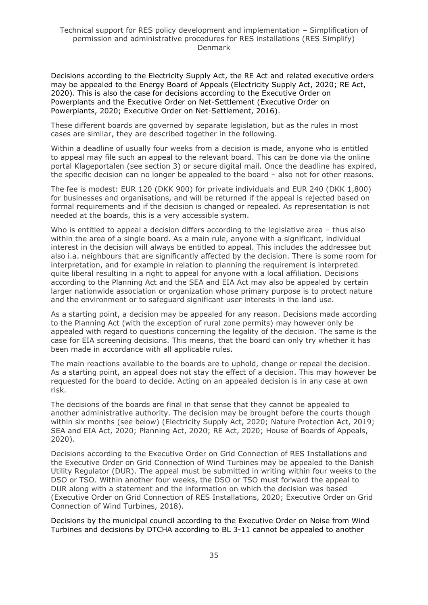Decisions according to the Electricity Supply Act, the RE Act and related executive orders may be appealed to the Energy Board of Appeals (Electricity Supply Act, 2020; RE Act, 2020). This is also the case for decisions according to the Executive Order on Powerplants and the Executive Order on Net-Settlement (Executive Order on Powerplants, 2020; Executive Order on Net-Settlement, 2016).

These different boards are governed by separate legislation, but as the rules in most cases are similar, they are described together in the following.

Within a deadline of usually four weeks from a decision is made, anyone who is entitled to appeal may file such an appeal to the relevant board. This can be done via the online portal Klageportalen (see section 3) or secure digital mail. Once the deadline has expired, the specific decision can no longer be appealed to the board – also not for other reasons.

The fee is modest: EUR 120 (DKK 900) for private individuals and EUR 240 (DKK 1,800) for businesses and organisations, and will be returned if the appeal is rejected based on formal requirements and if the decision is changed or repealed. As representation is not needed at the boards, this is a very accessible system.

Who is entitled to appeal a decision differs according to the legislative area – thus also within the area of a single board. As a main rule, anyone with a significant, individual interest in the decision will always be entitled to appeal. This includes the addressee but also i.a. neighbours that are significantly affected by the decision. There is some room for interpretation, and for example in relation to planning the requirement is interpreted quite liberal resulting in a right to appeal for anyone with a local affiliation. Decisions according to the Planning Act and the SEA and EIA Act may also be appealed by certain larger nationwide association or organization whose primary purpose is to protect nature and the environment or to safeguard significant user interests in the land use.

As a starting point, a decision may be appealed for any reason. Decisions made according to the Planning Act (with the exception of rural zone permits) may however only be appealed with regard to questions concerning the legality of the decision. The same is the case for EIA screening decisions. This means, that the board can only try whether it has been made in accordance with all applicable rules.

The main reactions available to the boards are to uphold, change or repeal the decision. As a starting point, an appeal does not stay the effect of a decision. This may however be requested for the board to decide. Acting on an appealed decision is in any case at own risk.

The decisions of the boards are final in that sense that they cannot be appealed to another administrative authority. The decision may be brought before the courts though within six months (see below) (Electricity Supply Act, 2020; Nature Protection Act, 2019; SEA and EIA Act, 2020; Planning Act, 2020; RE Act, 2020; House of Boards of Appeals, 2020).

Decisions according to the Executive Order on Grid Connection of RES Installations and the Executive Order on Grid Connection of Wind Turbines may be appealed to the Danish Utility Regulator (DUR). The appeal must be submitted in writing within four weeks to the DSO or TSO. Within another four weeks, the DSO or TSO must forward the appeal to DUR along with a statement and the information on which the decision was based (Executive Order on Grid Connection of RES Installations, 2020; Executive Order on Grid Connection of Wind Turbines, 2018).

Decisions by the municipal council according to the Executive Order on Noise from Wind Turbines and decisions by DTCHA according to BL 3-11 cannot be appealed to another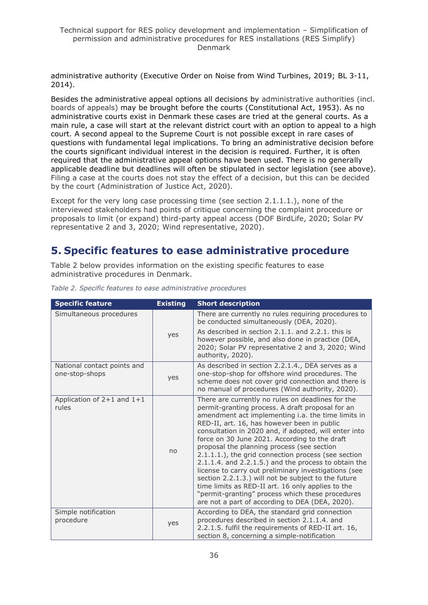administrative authority (Executive Order on Noise from Wind Turbines, 2019; BL 3-11, 2014).

Besides the administrative appeal options all decisions by administrative authorities (incl. boards of appeals) may be brought before the courts (Constitutional Act, 1953). As no administrative courts exist in Denmark these cases are tried at the general courts. As a main rule, a case will start at the relevant district court with an option to appeal to a high court. A second appeal to the Supreme Court is not possible except in rare cases of questions with fundamental legal implications. To bring an administrative decision before the courts significant individual interest in the decision is required. Further, it is often required that the administrative appeal options have been used. There is no generally applicable deadline but deadlines will often be stipulated in sector legislation (see above). Filing a case at the courts does not stay the effect of a decision, but this can be decided by the court (Administration of Justice Act, 2020).

Except for the very long case processing time (see section 2.1.1.1.), none of the interviewed stakeholders had points of critique concerning the complaint procedure or proposals to limit (or expand) third-party appeal access (DOF BirdLife, 2020; Solar PV representative 2 and 3, 2020; Wind representative, 2020).

## <span id="page-35-0"></span>**5. Specific features to ease administrative procedure**

Table 2 below provides information on the existing specific features to ease administrative procedures in Denmark.

| <b>Specific feature</b>                       | <b>Existing</b> | <b>Short description</b>                                                                                                                                                                                                                                                                                                                                                                                                                                                                                                                                                                                                                                                                                                                                           |
|-----------------------------------------------|-----------------|--------------------------------------------------------------------------------------------------------------------------------------------------------------------------------------------------------------------------------------------------------------------------------------------------------------------------------------------------------------------------------------------------------------------------------------------------------------------------------------------------------------------------------------------------------------------------------------------------------------------------------------------------------------------------------------------------------------------------------------------------------------------|
| Simultaneous procedures                       |                 | There are currently no rules requiring procedures to<br>be conducted simultaneously (DEA, 2020).                                                                                                                                                                                                                                                                                                                                                                                                                                                                                                                                                                                                                                                                   |
|                                               | yes             | As described in section 2.1.1. and 2.2.1. this is<br>however possible, and also done in practice (DEA,<br>2020; Solar PV representative 2 and 3, 2020; Wind<br>authority, 2020).                                                                                                                                                                                                                                                                                                                                                                                                                                                                                                                                                                                   |
| National contact points and<br>one-stop-shops | yes             | As described in section 2.2.1.4., DEA serves as a<br>one-stop-shop for offshore wind procedures. The<br>scheme does not cover grid connection and there is<br>no manual of procedures (Wind authority, 2020).                                                                                                                                                                                                                                                                                                                                                                                                                                                                                                                                                      |
| Application of $2+1$ and $1+1$<br>rules       | no              | There are currently no rules on deadlines for the<br>permit-granting process. A draft proposal for an<br>amendment act implementing i.a. the time limits in<br>RED-II, art. 16, has however been in public<br>consultation in 2020 and, if adopted, will enter into<br>force on 30 June 2021. According to the draft<br>proposal the planning process (see section<br>2.1.1.1.), the grid connection process (see section<br>$2.1.1.4$ . and $2.2.1.5$ .) and the process to obtain the<br>license to carry out preliminary investigations (see<br>section 2.2.1.3.) will not be subject to the future<br>time limits as RED-II art. 16 only applies to the<br>"permit-granting" process which these procedures<br>are not a part of according to DEA (DEA, 2020). |
| Simple notification<br>procedure              | yes             | According to DEA, the standard grid connection<br>procedures described in section 2.1.1.4. and<br>2.2.1.5. fulfil the requirements of RED-II art. 16,<br>section 8, concerning a simple-notification                                                                                                                                                                                                                                                                                                                                                                                                                                                                                                                                                               |

*Table 2. Specific features to ease administrative procedures*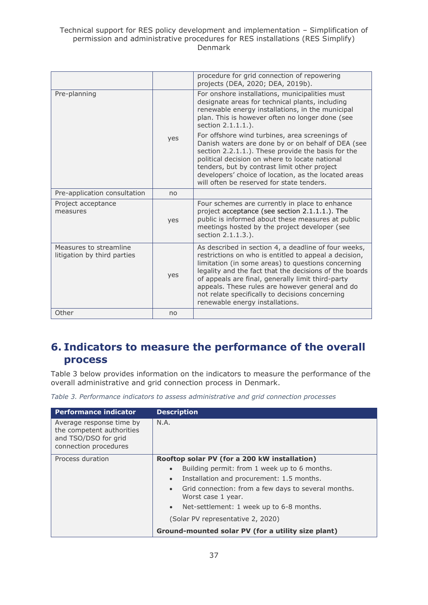|                                                       |     | procedure for grid connection of repowering<br>projects (DEA, 2020; DEA, 2019b).                                                                                                                                                                                                                                                                                                                                            |
|-------------------------------------------------------|-----|-----------------------------------------------------------------------------------------------------------------------------------------------------------------------------------------------------------------------------------------------------------------------------------------------------------------------------------------------------------------------------------------------------------------------------|
| Pre-planning                                          |     | For onshore installations, municipalities must<br>designate areas for technical plants, including<br>renewable energy installations, in the municipal<br>plan. This is however often no longer done (see<br>section 2.1.1.1.).                                                                                                                                                                                              |
|                                                       | yes | For offshore wind turbines, area screenings of<br>Danish waters are done by or on behalf of DEA (see<br>section 2.2.1.1.). These provide the basis for the<br>political decision on where to locate national<br>tenders, but by contrast limit other project<br>developers' choice of location, as the located areas<br>will often be reserved for state tenders.                                                           |
| Pre-application consultation                          | no  |                                                                                                                                                                                                                                                                                                                                                                                                                             |
| Project acceptance<br>measures                        | yes | Four schemes are currently in place to enhance<br>project acceptance (see section 2.1.1.1.). The<br>public is informed about these measures at public<br>meetings hosted by the project developer (see<br>section 2.1.1.3.).                                                                                                                                                                                                |
| Measures to streamline<br>litigation by third parties | yes | As described in section 4, a deadline of four weeks,<br>restrictions on who is entitled to appeal a decision,<br>limitation (in some areas) to questions concerning<br>legality and the fact that the decisions of the boards<br>of appeals are final, generally limit third-party<br>appeals. These rules are however general and do<br>not relate specifically to decisions concerning<br>renewable energy installations. |
| Other                                                 | no  |                                                                                                                                                                                                                                                                                                                                                                                                                             |

## <span id="page-36-0"></span>**6. Indicators to measure the performance of the overall process**

Table 3 below provides information on the indicators to measure the performance of the overall administrative and grid connection process in Denmark.

*Table 3. Performance indicators to assess administrative and grid connection processes*

| <b>Performance indicator</b>                                                                           | <b>Description</b>                                                                     |
|--------------------------------------------------------------------------------------------------------|----------------------------------------------------------------------------------------|
| Average response time by<br>the competent authorities<br>and TSO/DSO for grid<br>connection procedures | N.A.                                                                                   |
| Process duration                                                                                       | Rooftop solar PV (for a 200 kW installation)                                           |
|                                                                                                        | Building permit: from 1 week up to 6 months.<br>$\bullet$                              |
|                                                                                                        | Installation and procurement: 1.5 months.<br>$\bullet$                                 |
|                                                                                                        | Grid connection: from a few days to several months.<br>$\bullet$<br>Worst case 1 year. |
|                                                                                                        | Net-settlement: 1 week up to 6-8 months.<br>$\bullet$                                  |
|                                                                                                        | (Solar PV representative 2, 2020)                                                      |
|                                                                                                        | Ground-mounted solar PV (for a utility size plant)                                     |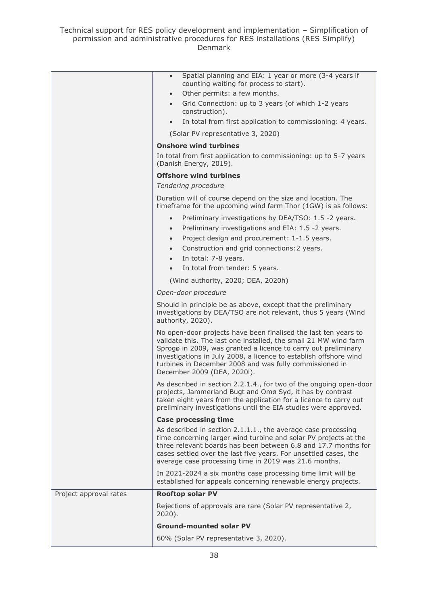|                        | Spatial planning and EIA: 1 year or more (3-4 years if<br>$\bullet$<br>counting waiting for process to start).                                                                                                                                                                                                                                                       |
|------------------------|----------------------------------------------------------------------------------------------------------------------------------------------------------------------------------------------------------------------------------------------------------------------------------------------------------------------------------------------------------------------|
|                        | Other permits: a few months.<br>$\bullet$                                                                                                                                                                                                                                                                                                                            |
|                        | Grid Connection: up to 3 years (of which 1-2 years<br>$\bullet$<br>construction).                                                                                                                                                                                                                                                                                    |
|                        | In total from first application to commissioning: 4 years.<br>$\bullet$                                                                                                                                                                                                                                                                                              |
|                        | (Solar PV representative 3, 2020)                                                                                                                                                                                                                                                                                                                                    |
|                        | <b>Onshore wind turbines</b>                                                                                                                                                                                                                                                                                                                                         |
|                        | In total from first application to commissioning: up to 5-7 years<br>(Danish Energy, 2019).                                                                                                                                                                                                                                                                          |
|                        | <b>Offshore wind turbines</b>                                                                                                                                                                                                                                                                                                                                        |
|                        | Tendering procedure                                                                                                                                                                                                                                                                                                                                                  |
|                        | Duration will of course depend on the size and location. The<br>timeframe for the upcoming wind farm Thor (1GW) is as follows:                                                                                                                                                                                                                                       |
|                        | Preliminary investigations by DEA/TSO: 1.5 -2 years.<br>$\bullet$<br>Preliminary investigations and EIA: 1.5 -2 years.<br>$\bullet$<br>Project design and procurement: 1-1.5 years.<br>$\bullet$<br>Construction and grid connections: 2 years.<br>$\bullet$<br>In total: 7-8 years.<br>$\bullet$<br>In total from tender: 5 years.<br>$\bullet$                     |
|                        |                                                                                                                                                                                                                                                                                                                                                                      |
|                        | (Wind authority, 2020; DEA, 2020h)                                                                                                                                                                                                                                                                                                                                   |
|                        | Open-door procedure                                                                                                                                                                                                                                                                                                                                                  |
|                        | Should in principle be as above, except that the preliminary<br>investigations by DEA/TSO are not relevant, thus 5 years (Wind<br>authority, 2020).                                                                                                                                                                                                                  |
|                        | No open-door projects have been finalised the last ten years to<br>validate this. The last one installed, the small 21 MW wind farm<br>Sprogø in 2009, was granted a licence to carry out preliminary<br>investigations in July 2008, a licence to establish offshore wind<br>turbines in December 2008 and was fully commissioned in<br>December 2009 (DEA, 2020l). |
|                        | As described in section 2.2.1.4., for two of the ongoing open-door<br>projects, Jammerland Bugt and Omø Syd, it has by contrast<br>taken eight years from the application for a licence to carry out<br>preliminary investigations until the EIA studies were approved.                                                                                              |
|                        | <b>Case processing time</b>                                                                                                                                                                                                                                                                                                                                          |
|                        | As described in section 2.1.1.1., the average case processing<br>time concerning larger wind turbine and solar PV projects at the<br>three relevant boards has been between 6.8 and 17.7 months for<br>cases settled over the last five years. For unsettled cases, the<br>average case processing time in 2019 was 21.6 months.                                     |
|                        | In 2021-2024 a six months case processing time limit will be<br>established for appeals concerning renewable energy projects.                                                                                                                                                                                                                                        |
| Project approval rates | <b>Rooftop solar PV</b>                                                                                                                                                                                                                                                                                                                                              |
|                        | Rejections of approvals are rare (Solar PV representative 2,<br>$2020$ ).                                                                                                                                                                                                                                                                                            |
|                        | <b>Ground-mounted solar PV</b>                                                                                                                                                                                                                                                                                                                                       |
|                        | 60% (Solar PV representative 3, 2020).                                                                                                                                                                                                                                                                                                                               |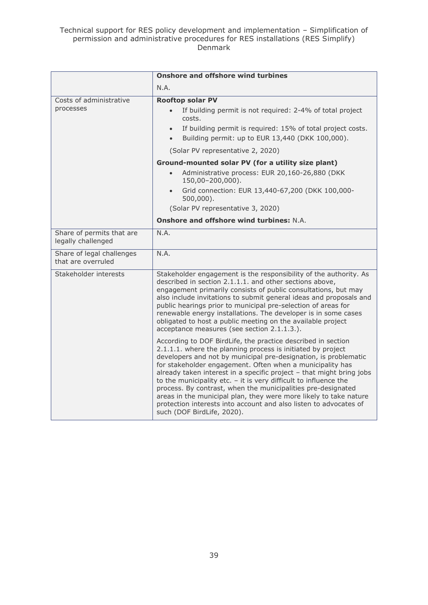|                                                 | <b>Onshore and offshore wind turbines</b>                                                                                                                                                                                                                                                                                                                                                                                                                                                                                                                                                                                                         |  |  |
|-------------------------------------------------|---------------------------------------------------------------------------------------------------------------------------------------------------------------------------------------------------------------------------------------------------------------------------------------------------------------------------------------------------------------------------------------------------------------------------------------------------------------------------------------------------------------------------------------------------------------------------------------------------------------------------------------------------|--|--|
|                                                 | N.A.                                                                                                                                                                                                                                                                                                                                                                                                                                                                                                                                                                                                                                              |  |  |
| Costs of administrative<br>processes            | <b>Rooftop solar PV</b><br>If building permit is not required: 2-4% of total project<br>$\bullet$<br>costs.<br>If building permit is required: 15% of total project costs.<br>$\bullet$<br>Building permit: up to EUR 13,440 (DKK 100,000).<br>$\bullet$                                                                                                                                                                                                                                                                                                                                                                                          |  |  |
|                                                 | (Solar PV representative 2, 2020)                                                                                                                                                                                                                                                                                                                                                                                                                                                                                                                                                                                                                 |  |  |
|                                                 | Ground-mounted solar PV (for a utility size plant)<br>Administrative process: EUR 20,160-26,880 (DKK<br>$\bullet$<br>150,00-200,000).<br>Grid connection: EUR 13,440-67,200 (DKK 100,000-<br>$500,000$ ).<br>(Solar PV representative 3, 2020)                                                                                                                                                                                                                                                                                                                                                                                                    |  |  |
|                                                 | <b>Onshore and offshore wind turbines: N.A.</b>                                                                                                                                                                                                                                                                                                                                                                                                                                                                                                                                                                                                   |  |  |
| Share of permits that are<br>legally challenged | N.A.                                                                                                                                                                                                                                                                                                                                                                                                                                                                                                                                                                                                                                              |  |  |
| Share of legal challenges<br>that are overruled | N.A.                                                                                                                                                                                                                                                                                                                                                                                                                                                                                                                                                                                                                                              |  |  |
| Stakeholder interests                           | Stakeholder engagement is the responsibility of the authority. As<br>described in section 2.1.1.1. and other sections above,<br>engagement primarily consists of public consultations, but may<br>also include invitations to submit general ideas and proposals and<br>public hearings prior to municipal pre-selection of areas for<br>renewable energy installations. The developer is in some cases<br>obligated to host a public meeting on the available project<br>acceptance measures (see section 2.1.1.3.).                                                                                                                             |  |  |
|                                                 | According to DOF BirdLife, the practice described in section<br>2.1.1.1. where the planning process is initiated by project<br>developers and not by municipal pre-designation, is problematic<br>for stakeholder engagement. Often when a municipality has<br>already taken interest in a specific project - that might bring jobs<br>to the municipality etc. $-$ it is very difficult to influence the<br>process. By contrast, when the municipalities pre-designated<br>areas in the municipal plan, they were more likely to take nature<br>protection interests into account and also listen to advocates of<br>such (DOF BirdLife, 2020). |  |  |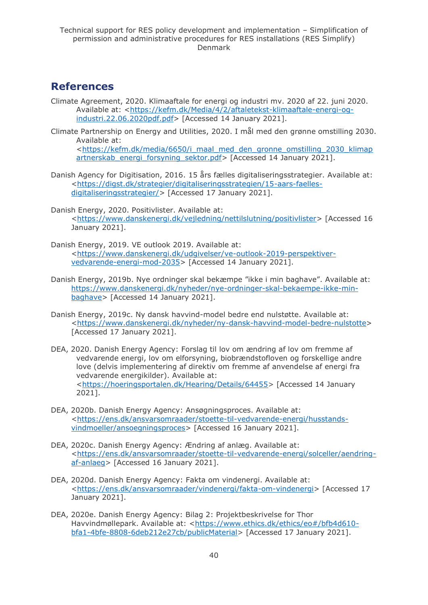## <span id="page-39-0"></span>**References**

- Climate Agreement, 2020. Klimaaftale for energi og industri mv. 2020 af 22. juni 2020. Available at: [<https://kefm.dk/Media/4/2/aftaletekst-klimaaftale-energi-og](https://kefm.dk/Media/4/2/aftaletekst-klimaaftale-energi-og-industri.22.06.2020pdf.pdf)[industri.22.06.2020pdf.pdf>](https://kefm.dk/Media/4/2/aftaletekst-klimaaftale-energi-og-industri.22.06.2020pdf.pdf) [Accessed 14 January 2021].
- Climate Partnership on Energy and Utilities, 2020. I mål med den grønne omstilling 2030. Available at: [<https://kefm.dk/media/6650/i\\_maal\\_med\\_den\\_gronne\\_omstilling\\_2030\\_klimap](https://kefm.dk/media/6650/i_maal_med_den_gronne_omstilling_2030_klimapartnerskab_energi_forsyning_sektor.pdf)

[artnerskab\\_energi\\_forsyning\\_sektor.pdf>](https://kefm.dk/media/6650/i_maal_med_den_gronne_omstilling_2030_klimapartnerskab_energi_forsyning_sektor.pdf) [Accessed 14 January 2021].

- Danish Agency for Digitisation, 2016. 15 års fælles digitaliseringsstrategier. Available at: [<https://digst.dk/strategier/digitaliseringsstrategien/15-aars-faelles](https://digst.dk/strategier/digitaliseringsstrategien/15-aars-faelles-digitaliseringsstrategier/)[digitaliseringsstrategier/>](https://digst.dk/strategier/digitaliseringsstrategien/15-aars-faelles-digitaliseringsstrategier/) [Accessed 17 January 2021].
- Danish Energy, 2020. Positivlister. Available at: [<https://www.danskenergi.dk/vejledning/nettilslutning/positivlister>](https://www.danskenergi.dk/vejledning/nettilslutning/positivlister) [Accessed 16 January 2021].
- Danish Energy, 2019. VE outlook 2019. Available at: [<https://www.danskenergi.dk/udgivelser/ve-outlook-2019-perspektiver](https://www.danskenergi.dk/udgivelser/ve-outlook-2019-perspektiver-vedvarende-energi-mod-2035)[vedvarende-energi-mod-2035>](https://www.danskenergi.dk/udgivelser/ve-outlook-2019-perspektiver-vedvarende-energi-mod-2035) [Accessed 14 January 2021].
- Danish Energy, 2019b. Nye ordninger skal bekæmpe "ikke i min baghave". Available at: [https://www.danskenergi.dk/nyheder/nye-ordninger-skal-bekaempe-ikke-min](https://www.danskenergi.dk/nyheder/nye-ordninger-skal-bekaempe-ikke-min-baghave)[baghave>](https://www.danskenergi.dk/nyheder/nye-ordninger-skal-bekaempe-ikke-min-baghave) [Accessed 14 January 2021].
- Danish Energy, 2019c. Ny dansk havvind-model bedre end nulstøtte. Available at: [<https://www.danskenergi.dk/nyheder/ny-dansk-havvind-model-bedre-nulstotte>](https://www.danskenergi.dk/nyheder/ny-dansk-havvind-model-bedre-nulstotte) [Accessed 17 January 2021].
- DEA, 2020. Danish Energy Agency: Forslag til lov om ændring af lov om fremme af vedvarende energi, lov om elforsyning, biobrændstofloven og forskellige andre love (delvis implementering af direktiv om fremme af anvendelse af energi fra vedvarende energikilder). Available at: [<https://hoeringsportalen.dk/Hearing/Details/64455>](https://hoeringsportalen.dk/Hearing/Details/64455) [Accessed 14 January 2021].
- DEA, 2020b. Danish Energy Agency: Ansøgningsproces. Available at: [<https://ens.dk/ansvarsomraader/stoette-til-vedvarende-energi/husstands](https://ens.dk/ansvarsomraader/stoette-til-vedvarende-energi/husstands-vindmoeller/ansoegningsproces)[vindmoeller/ansoegningsproces>](https://ens.dk/ansvarsomraader/stoette-til-vedvarende-energi/husstands-vindmoeller/ansoegningsproces) [Accessed 16 January 2021].
- DEA, 2020c. Danish Energy Agency: Ændring af anlæg. Available at: [<https://ens.dk/ansvarsomraader/stoette-til-vedvarende-energi/solceller/aendring](https://ens.dk/ansvarsomraader/stoette-til-vedvarende-energi/solceller/aendring-af-anlaeg)[af-anlaeg>](https://ens.dk/ansvarsomraader/stoette-til-vedvarende-energi/solceller/aendring-af-anlaeg) [Accessed 16 January 2021].
- DEA, 2020d. Danish Energy Agency: Fakta om vindenergi. Available at: [<https://ens.dk/ansvarsomraader/vindenergi/fakta-om-vindenergi>](https://ens.dk/ansvarsomraader/vindenergi/fakta-om-vindenergi) [Accessed 17 January 2021].
- DEA, 2020e. Danish Energy Agency: Bilag 2: Projektbeskrivelse for Thor Havvindmøllepark. Available at: [<https://www.ethics.dk/ethics/eo#/bfb4d610](https://www.ethics.dk/ethics/eo#/bfb4d610-bfa1-4bfe-8808-6deb212e27cb/publicMaterial) [bfa1-4bfe-8808-6deb212e27cb/publicMaterial>](https://www.ethics.dk/ethics/eo#/bfb4d610-bfa1-4bfe-8808-6deb212e27cb/publicMaterial) [Accessed 17 January 2021].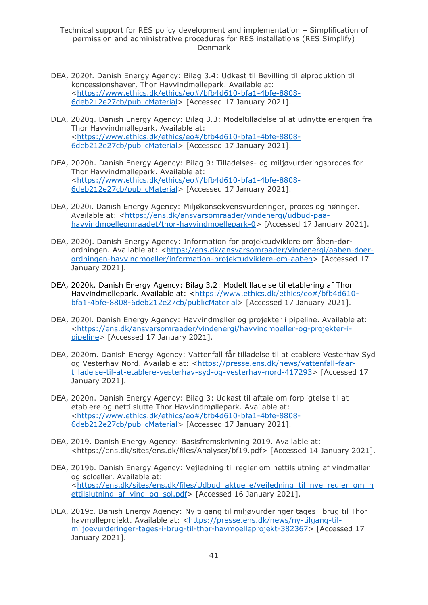- DEA, 2020f. Danish Energy Agency: Bilag 3.4: Udkast til Bevilling til elproduktion til koncessionshaver, Thor Havvindmøllepark. Available at: [<https://www.ethics.dk/ethics/eo#/bfb4d610-bfa1-4bfe-8808-](https://www.ethics.dk/ethics/eo#/bfb4d610-bfa1-4bfe-8808-6deb212e27cb/publicMaterial) [6deb212e27cb/publicMaterial>](https://www.ethics.dk/ethics/eo#/bfb4d610-bfa1-4bfe-8808-6deb212e27cb/publicMaterial) [Accessed 17 January 2021].
- DEA, 2020g. Danish Energy Agency: Bilag 3.3: Modeltilladelse til at udnytte energien fra Thor Havvindmøllepark. Available at: [<https://www.ethics.dk/ethics/eo#/bfb4d610-bfa1-4bfe-8808-](https://www.ethics.dk/ethics/eo#/bfb4d610-bfa1-4bfe-8808-6deb212e27cb/publicMaterial) [6deb212e27cb/publicMaterial>](https://www.ethics.dk/ethics/eo#/bfb4d610-bfa1-4bfe-8808-6deb212e27cb/publicMaterial) [Accessed 17 January 2021].
- DEA, 2020h. Danish Energy Agency: Bilag 9: Tilladelses- og miljøvurderingsproces for Thor Havvindmøllepark. Available at: [<https://www.ethics.dk/ethics/eo#/bfb4d610-bfa1-4bfe-8808-](https://www.ethics.dk/ethics/eo#/bfb4d610-bfa1-4bfe-8808-6deb212e27cb/publicMaterial) [6deb212e27cb/publicMaterial>](https://www.ethics.dk/ethics/eo#/bfb4d610-bfa1-4bfe-8808-6deb212e27cb/publicMaterial) [Accessed 17 January 2021].
- DEA, 2020i. Danish Energy Agency: Miljøkonsekvensvurderinger, proces og høringer. Available at: [<https://ens.dk/ansvarsomraader/vindenergi/udbud-paa](https://ens.dk/ansvarsomraader/vindenergi/udbud-paa-havvindmoelleomraadet/thor-havvindmoellepark-0)[havvindmoelleomraadet/thor-havvindmoellepark-0>](https://ens.dk/ansvarsomraader/vindenergi/udbud-paa-havvindmoelleomraadet/thor-havvindmoellepark-0) [Accessed 17 January 2021].
- DEA, 2020j. Danish Energy Agency: Information for projektudviklere om åben-dør-ordningen. Available at: [<https://ens.dk/ansvarsomraader/vindenergi/aaben-doer](https://ens.dk/ansvarsomraader/vindenergi/aaben-doer-ordningen-havvindmoeller/information-projektudviklere-om-aaben)[ordningen-havvindmoeller/information-projektudviklere-om-aaben>](https://ens.dk/ansvarsomraader/vindenergi/aaben-doer-ordningen-havvindmoeller/information-projektudviklere-om-aaben) [Accessed 17 January 2021].
- DEA, 2020k. Danish Energy Agency: Bilag 3.2: Modeltilladelse til etablering af Thor Havvindmøllepark. Available at: [<https://www.ethics.dk/ethics/eo#/bfb4d610](https://www.ethics.dk/ethics/eo#/bfb4d610-bfa1-4bfe-8808-6deb212e27cb/publicMaterial) [bfa1-4bfe-8808-6deb212e27cb/publicMaterial>](https://www.ethics.dk/ethics/eo#/bfb4d610-bfa1-4bfe-8808-6deb212e27cb/publicMaterial) [Accessed 17 January 2021].
- DEA, 2020l. Danish Energy Agency: Havvindmøller og projekter i pipeline. Available at: [<https://ens.dk/ansvarsomraader/vindenergi/havvindmoeller-og-projekter-i](https://ens.dk/ansvarsomraader/vindenergi/havvindmoeller-og-projekter-i-pipeline)[pipeline>](https://ens.dk/ansvarsomraader/vindenergi/havvindmoeller-og-projekter-i-pipeline) [Accessed 17 January 2021].
- DEA, 2020m. Danish Energy Agency: Vattenfall får tilladelse til at etablere Vesterhav Syd og Vesterhav Nord. Available at: [<https://presse.ens.dk/news/vattenfall-faar](https://presse.ens.dk/news/vattenfall-faar-tilladelse-til-at-etablere-vesterhav-syd-og-vesterhav-nord-417293)[tilladelse-til-at-etablere-vesterhav-syd-og-vesterhav-nord-417293>](https://presse.ens.dk/news/vattenfall-faar-tilladelse-til-at-etablere-vesterhav-syd-og-vesterhav-nord-417293) [Accessed 17 January 2021].
- DEA, 2020n. Danish Energy Agency: Bilag 3: Udkast til aftale om forpligtelse til at etablere og nettilslutte Thor Havvindmøllepark. Available at: [<https://www.ethics.dk/ethics/eo#/bfb4d610-bfa1-4bfe-8808-](https://www.ethics.dk/ethics/eo#/bfb4d610-bfa1-4bfe-8808-6deb212e27cb/publicMaterial) [6deb212e27cb/publicMaterial>](https://www.ethics.dk/ethics/eo#/bfb4d610-bfa1-4bfe-8808-6deb212e27cb/publicMaterial) [Accessed 17 January 2021].
- DEA, 2019. Danish Energy Agency: Basisfremskrivning 2019. Available at: <https://ens.dk/sites/ens.dk/files/Analyser/bf19.pdf> [Accessed 14 January 2021].
- DEA, 2019b. Danish Energy Agency: Vejledning til regler om nettilslutning af vindmøller og solceller. Available at: [<https://ens.dk/sites/ens.dk/files/Udbud\\_aktuelle/vejledning\\_til\\_nye\\_regler\\_om\\_n](https://ens.dk/sites/ens.dk/files/Udbud_aktuelle/vejledning_til_nye_regler_om_nettilslutning_af_vind_og_sol.pdf) ettilslutning af vind og sol.pdf> [Accessed 16 January 2021].
- DEA, 2019c. Danish Energy Agency: Ny tilgang til miljøvurderinger tages i brug til Thor havmølleprojekt. Available at: [<https://presse.ens.dk/news/ny-tilgang-til](https://presse.ens.dk/news/ny-tilgang-til-miljoevurderinger-tages-i-brug-til-thor-havmoelleprojekt-382367)[miljoevurderinger-tages-i-brug-til-thor-havmoelleprojekt-382367>](https://presse.ens.dk/news/ny-tilgang-til-miljoevurderinger-tages-i-brug-til-thor-havmoelleprojekt-382367) [Accessed 17 January 2021].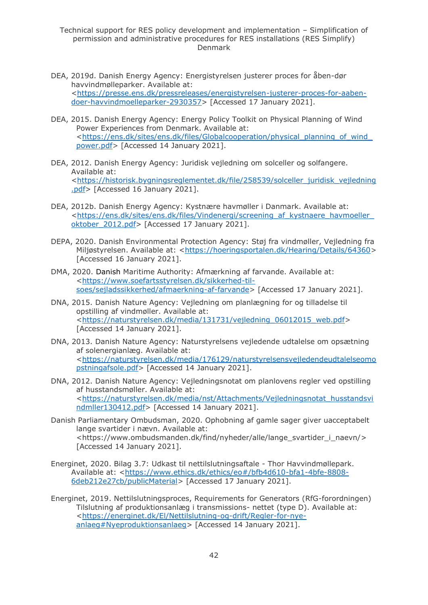- DEA, 2019d. Danish Energy Agency: Energistyrelsen justerer proces for åben-dør havvindmølleparker. Available at: [<https://presse.ens.dk/pressreleases/energistyrelsen-justerer-proces-for-aaben](https://presse.ens.dk/pressreleases/energistyrelsen-justerer-proces-for-aaben-doer-havvindmoelleparker-2930357)[doer-havvindmoelleparker-2930357>](https://presse.ens.dk/pressreleases/energistyrelsen-justerer-proces-for-aaben-doer-havvindmoelleparker-2930357) [Accessed 17 January 2021].
- DEA, 2015. Danish Energy Agency: Energy Policy Toolkit on Physical Planning of Wind Power Experiences from Denmark. Available at: [<https://ens.dk/sites/ens.dk/files/Globalcooperation/physical\\_planning\\_of\\_wind\\_](https://ens.dk/sites/ens.dk/files/Globalcooperation/physical_planning_of_wind_power.pdf) [power.pdf>](https://ens.dk/sites/ens.dk/files/Globalcooperation/physical_planning_of_wind_power.pdf) [Accessed 14 January 2021].
- DEA, 2012. Danish Energy Agency: Juridisk vejledning om solceller og solfangere. Available at: [<https://historisk.bygningsreglementet.dk/file/258539/solceller\\_juridisk\\_vejledning](https://historisk.bygningsreglementet.dk/file/258539/solceller_juridisk_vejledning.pdf) [.pdf>](https://historisk.bygningsreglementet.dk/file/258539/solceller_juridisk_vejledning.pdf) [Accessed 16 January 2021].
- DEA, 2012b. Danish Energy Agency: Kystnære havmøller i Danmark. Available at: [<https://ens.dk/sites/ens.dk/files/Vindenergi/screening\\_af\\_kystnaere\\_havmoeller\\_](https://ens.dk/sites/ens.dk/files/Vindenergi/screening_af_kystnaere_havmoeller_oktober_2012.pdf) [oktober\\_2012.pdf>](https://ens.dk/sites/ens.dk/files/Vindenergi/screening_af_kystnaere_havmoeller_oktober_2012.pdf) [Accessed 17 January 2021].
- DEPA, 2020. Danish Environmental Protection Agency: Støj fra vindmøller, Vejledning fra Miljøstyrelsen. Available at: [<https://hoeringsportalen.dk/Hearing/Details/64360>](https://hoeringsportalen.dk/Hearing/Details/64360) [Accessed 16 January 2021].
- DMA, 2020. Danish Maritime Authority: Afmærkning af farvande. Available at: [<https://www.soefartsstyrelsen.dk/sikkerhed-til](https://www.soefartsstyrelsen.dk/sikkerhed-til-soes/sejladssikkerhed/afmaerkning-af-farvande)[soes/sejladssikkerhed/afmaerkning-af-farvande>](https://www.soefartsstyrelsen.dk/sikkerhed-til-soes/sejladssikkerhed/afmaerkning-af-farvande) [Accessed 17 January 2021].
- DNA, 2015. Danish Nature Agency: Vejledning om planlægning for og tilladelse til opstilling af vindmøller. Available at: [<https://naturstyrelsen.dk/media/131731/vejledning\\_06012015\\_web.pdf>](https://naturstyrelsen.dk/media/131731/vejledning_06012015_web.pdf) [Accessed 14 January 2021].
- DNA, 2013. Danish Nature Agency: Naturstyrelsens vejledende udtalelse om opsætning af solenergianlæg. Available at: [<https://naturstyrelsen.dk/media/176129/naturstyrelsensvejledendeudtalelseomo](https://naturstyrelsen.dk/media/176129/naturstyrelsensvejledendeudtalelseomopstningafsole.pdf) [pstningafsole.pdf>](https://naturstyrelsen.dk/media/176129/naturstyrelsensvejledendeudtalelseomopstningafsole.pdf) [Accessed 14 January 2021].
- DNA, 2012. Danish Nature Agency: Vejledningsnotat om planlovens regler ved opstilling af husstandsmøller. Available at: [<https://naturstyrelsen.dk/media/nst/Attachments/Vejledningsnotat\\_husstandsvi](https://naturstyrelsen.dk/media/nst/Attachments/Vejledningsnotat_husstandsvindmller130412.pdf) [ndmller130412.pdf>](https://naturstyrelsen.dk/media/nst/Attachments/Vejledningsnotat_husstandsvindmller130412.pdf) [Accessed 14 January 2021].
- Danish Parliamentary Ombudsman, 2020. Ophobning af gamle sager giver uacceptabelt lange svartider i nævn. Available at: <https://www.ombudsmanden.dk/find/nyheder/alle/lange\_svartider\_i\_naevn/> [Accessed 14 January 2021].
- Energinet, 2020. Bilag 3.7: Udkast til nettilslutningsaftale Thor Havvindmøllepark. Available at: [<https://www.ethics.dk/ethics/eo#/bfb4d610-bfa1-4bfe-8808-](https://www.ethics.dk/ethics/eo#/bfb4d610-bfa1-4bfe-8808-6deb212e27cb/publicMaterial) [6deb212e27cb/publicMaterial>](https://www.ethics.dk/ethics/eo#/bfb4d610-bfa1-4bfe-8808-6deb212e27cb/publicMaterial) [Accessed 17 January 2021].
- Energinet, 2019. Nettilslutningsproces, Requirements for Generators (RfG-forordningen) Tilslutning af produktionsanlæg i transmissions- nettet (type D). Available at: [<https://energinet.dk/El/Nettilslutning-og-drift/Regler-for-nye](https://energinet.dk/El/Nettilslutning-og-drift/Regler-for-nye-anlaeg#Nyeproduktionsanlaeg)[anlaeg#Nyeproduktionsanlaeg>](https://energinet.dk/El/Nettilslutning-og-drift/Regler-for-nye-anlaeg#Nyeproduktionsanlaeg) [Accessed 14 January 2021].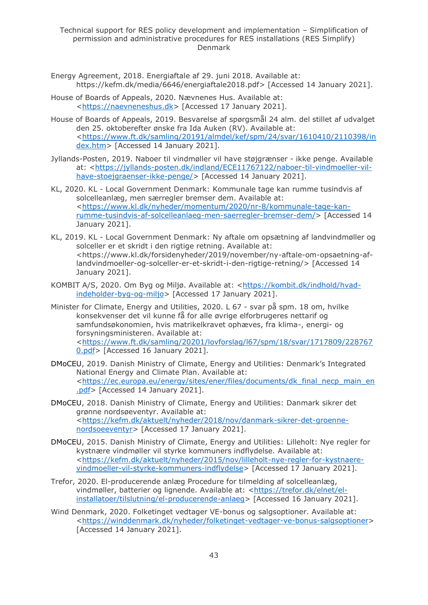- Energy Agreement, 2018. Energiaftale af 29. juni 2018. Available at: https://kefm.dk/media/6646/energiaftale2018.pdf> [Accessed 14 January 2021].
- House of Boards of Appeals, 2020. Nævnenes Hus. Available at: [<https://naevneneshus.dk>](https://naevneneshus.dk/) [Accessed 17 January 2021].
- House of Boards of Appeals, 2019. Besvarelse af spørgsmål 24 alm. del stillet af udvalget den 25. oktoberefter ønske fra Ida Auken (RV). Available at: [<https://www.ft.dk/samling/20191/almdel/kef/spm/24/svar/1610410/2110398/in](https://www.ft.dk/samling/20191/almdel/kef/spm/24/svar/1610410/2110398/index.htm) [dex.htm>](https://www.ft.dk/samling/20191/almdel/kef/spm/24/svar/1610410/2110398/index.htm) [Accessed 14 January 2021].
- Jyllands-Posten, 2019. Naboer til vindmøller vil have støjgrænser ikke penge. Available at: [<https://jyllands-posten.dk/indland/ECE11767122/naboer-til-vindmoeller-vil](https://jyllands-posten.dk/indland/ECE11767122/naboer-til-vindmoeller-vil-have-stoejgraenser-ikke-penge/)[have-stoejgraenser-ikke-penge/>](https://jyllands-posten.dk/indland/ECE11767122/naboer-til-vindmoeller-vil-have-stoejgraenser-ikke-penge/) [Accessed 14 January 2021].
- KL, 2020. KL Local Government Denmark: Kommunale tage kan rumme tusindvis af solcelleanlæg, men særregler bremser dem. Available at: [<https://www.kl.dk/nyheder/momentum/2020/nr-8/kommunale-tage-kan](https://www.kl.dk/nyheder/momentum/2020/nr-8/kommunale-tage-kan-rumme-tusindvis-af-solcelleanlaeg-men-saerregler-bremser-dem/)[rumme-tusindvis-af-solcelleanlaeg-men-saerregler-bremser-dem/>](https://www.kl.dk/nyheder/momentum/2020/nr-8/kommunale-tage-kan-rumme-tusindvis-af-solcelleanlaeg-men-saerregler-bremser-dem/) [Accessed 14 January 2021].
- KL, 2019. KL Local Government Denmark: Ny aftale om opsætning af landvindmøller og solceller er et skridt i den rigtige retning. Available at: <https://www.kl.dk/forsidenyheder/2019/november/ny-aftale-om-opsaetning-aflandvindmoeller-og-solceller-er-et-skridt-i-den-rigtige-retning/> [Accessed 14 January 2021].
- KOMBIT A/S, 2020. Om Byg og Miljø. Available at: [<https://kombit.dk/indhold/hvad](https://kombit.dk/indhold/hvad-indeholder-byg-og-miljo)[indeholder-byg-og-miljo>](https://kombit.dk/indhold/hvad-indeholder-byg-og-miljo) [Accessed 17 January 2021].
- Minister for Climate, Energy and Utilities, 2020. L 67 svar på spm. 18 om, hvilke konsekvenser det vil kunne få for alle øvrige elforbrugeres nettarif og samfundsøkonomien, hvis matrikelkravet ophæves, fra klima-, energi- og forsyningsministeren. Available at: [<https://www.ft.dk/samling/20201/lovforslag/l67/spm/18/svar/1717809/228767](https://www.ft.dk/samling/20201/lovforslag/l67/spm/18/svar/1717809/2287670.pdf) [0.pdf>](https://www.ft.dk/samling/20201/lovforslag/l67/spm/18/svar/1717809/2287670.pdf) [Accessed 16 January 2021].
- DMoCEU, 2019. Danish Ministry of Climate, Energy and Utilities: Denmark's Integrated National Energy and Climate Plan. Available at: [<https://ec.europa.eu/energy/sites/ener/files/documents/dk\\_final\\_necp\\_main\\_en](https://ec.europa.eu/energy/sites/ener/files/documents/dk_final_necp_main_en.pdf) [.pdf>](https://ec.europa.eu/energy/sites/ener/files/documents/dk_final_necp_main_en.pdf) [Accessed 14 January 2021].
- DMoCEU, 2018. Danish Ministry of Climate, Energy and Utilities: Danmark sikrer det grønne nordsøeventyr. Available at: [<https://kefm.dk/aktuelt/nyheder/2018/nov/danmark-sikrer-det-groenne](https://kefm.dk/aktuelt/nyheder/2018/nov/danmark-sikrer-det-groenne-nordsoeeventyr)[nordsoeeventyr>](https://kefm.dk/aktuelt/nyheder/2018/nov/danmark-sikrer-det-groenne-nordsoeeventyr) [Accessed 17 January 2021].
- DMoCEU, 2015. Danish Ministry of Climate, Energy and Utilities: Lilleholt: Nye regler for kystnære vindmøller vil styrke kommuners indflydelse. Available at: [<https://kefm.dk/aktuelt/nyheder/2015/nov/lilleholt-nye-regler-for-kystnaere](https://kefm.dk/aktuelt/nyheder/2015/nov/lilleholt-nye-regler-for-kystnaere-vindmoeller-vil-styrke-kommuners-indflydelse)[vindmoeller-vil-styrke-kommuners-indflydelse>](https://kefm.dk/aktuelt/nyheder/2015/nov/lilleholt-nye-regler-for-kystnaere-vindmoeller-vil-styrke-kommuners-indflydelse) [Accessed 17 January 2021].
- Trefor, 2020. El-producerende anlæg Procedure for tilmelding af solcelleanlæg, vindmøller, batterier og lignende. Available at: [<https://trefor.dk/elnet/el](https://trefor.dk/elnet/el-installatoer/tilslutning/el-producerende-anlaeg)[installatoer/tilslutning/el-producerende-anlaeg>](https://trefor.dk/elnet/el-installatoer/tilslutning/el-producerende-anlaeg) [Accessed 16 January 2021].
- Wind Denmark, 2020. Folketinget vedtager VE-bonus og salgsoptioner. Available at: [<https://winddenmark.dk/nyheder/folketinget-vedtager-ve-bonus-salgsoptioner>](https://winddenmark.dk/nyheder/folketinget-vedtager-ve-bonus-salgsoptioner) [Accessed 14 January 2021].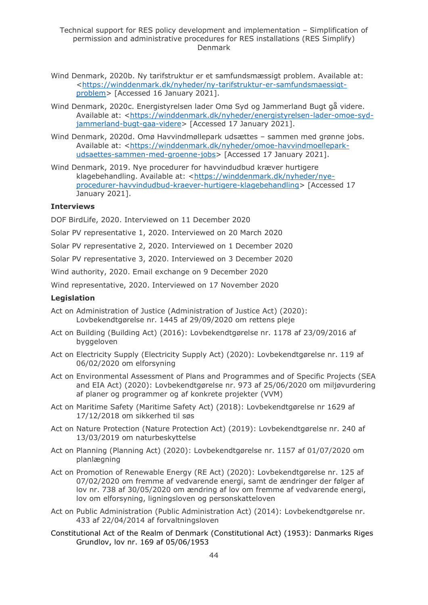- Wind Denmark, 2020b. Ny tarifstruktur er et samfundsmæssigt problem. Available at: [<https://winddenmark.dk/nyheder/ny-tarifstruktur-er-samfundsmaessigt](https://winddenmark.dk/nyheder/ny-tarifstruktur-er-samfundsmaessigt-problem)[problem>](https://winddenmark.dk/nyheder/ny-tarifstruktur-er-samfundsmaessigt-problem) [Accessed 16 January 2021].
- Wind Denmark, 2020c. Energistyrelsen lader Omø Syd og Jammerland Bugt gå videre. Available at: [<https://winddenmark.dk/nyheder/energistyrelsen-lader-omoe-syd](https://winddenmark.dk/nyheder/energistyrelsen-lader-omoe-syd-jammerland-bugt-gaa-videre)[jammerland-bugt-gaa-videre>](https://winddenmark.dk/nyheder/energistyrelsen-lader-omoe-syd-jammerland-bugt-gaa-videre) [Accessed 17 January 2021].
- Wind Denmark, 2020d. Omø Havvindmøllepark udsættes sammen med grønne jobs. Available at: [<https://winddenmark.dk/nyheder/omoe-havvindmoellepark](https://winddenmark.dk/nyheder/omoe-havvindmoellepark-udsaettes-sammen-med-groenne-jobs)[udsaettes-sammen-med-groenne-jobs>](https://winddenmark.dk/nyheder/omoe-havvindmoellepark-udsaettes-sammen-med-groenne-jobs) [Accessed 17 January 2021].
- Wind Denmark, 2019. Nye procedurer for havvindudbud kræver hurtigere klagebehandling. Available at: [<https://winddenmark.dk/nyheder/nye](https://winddenmark.dk/nyheder/nye-procedurer-havvindudbud-kraever-hurtigere-klagebehandling)[procedurer-havvindudbud-kraever-hurtigere-klagebehandling>](https://winddenmark.dk/nyheder/nye-procedurer-havvindudbud-kraever-hurtigere-klagebehandling) [Accessed 17 January 2021].

#### **Interviews**

DOF BirdLife, 2020. Interviewed on 11 December 2020

Solar PV representative 1, 2020. Interviewed on 20 March 2020

Solar PV representative 2, 2020. Interviewed on 1 December 2020

Solar PV representative 3, 2020. Interviewed on 3 December 2020

Wind authority, 2020. Email exchange on 9 December 2020

Wind representative, 2020. Interviewed on 17 November 2020

#### **Legislation**

- Act on Administration of Justice (Administration of Justice Act) (2020): Lovbekendtgørelse nr. 1445 af 29/09/2020 om rettens pleje
- Act on Building (Building Act) (2016): Lovbekendtgørelse nr. 1178 af 23/09/2016 af byggeloven
- Act on Electricity Supply (Electricity Supply Act) (2020): Lovbekendtgørelse nr. 119 af 06/02/2020 om elforsyning
- Act on Environmental Assessment of Plans and Programmes and of Specific Projects (SEA and EIA Act) (2020): Lovbekendtgørelse nr. 973 af 25/06/2020 om miljøvurdering af planer og programmer og af konkrete projekter (VVM)
- Act on Maritime Safety (Maritime Safety Act) (2018): Lovbekendtgørelse nr 1629 af 17/12/2018 om sikkerhed til søs
- Act on Nature Protection (Nature Protection Act) (2019): Lovbekendtgørelse nr. 240 af 13/03/2019 om naturbeskyttelse
- Act on Planning (Planning Act) (2020): Lovbekendtgørelse nr. 1157 af 01/07/2020 om planlægning
- Act on Promotion of Renewable Energy (RE Act) (2020): Lovbekendtgørelse nr. 125 af 07/02/2020 om fremme af vedvarende energi, samt de ændringer der følger af lov nr. 738 af 30/05/2020 om ændring af lov om fremme af vedvarende energi, lov om elforsyning, ligningsloven og personskatteloven
- Act on Public Administration (Public Administration Act) (2014): Lovbekendtgørelse nr. 433 af 22/04/2014 af forvaltningsloven
- Constitutional Act of the Realm of Denmark (Constitutional Act) (1953): Danmarks Riges Grundlov, lov nr. 169 af 05/06/1953